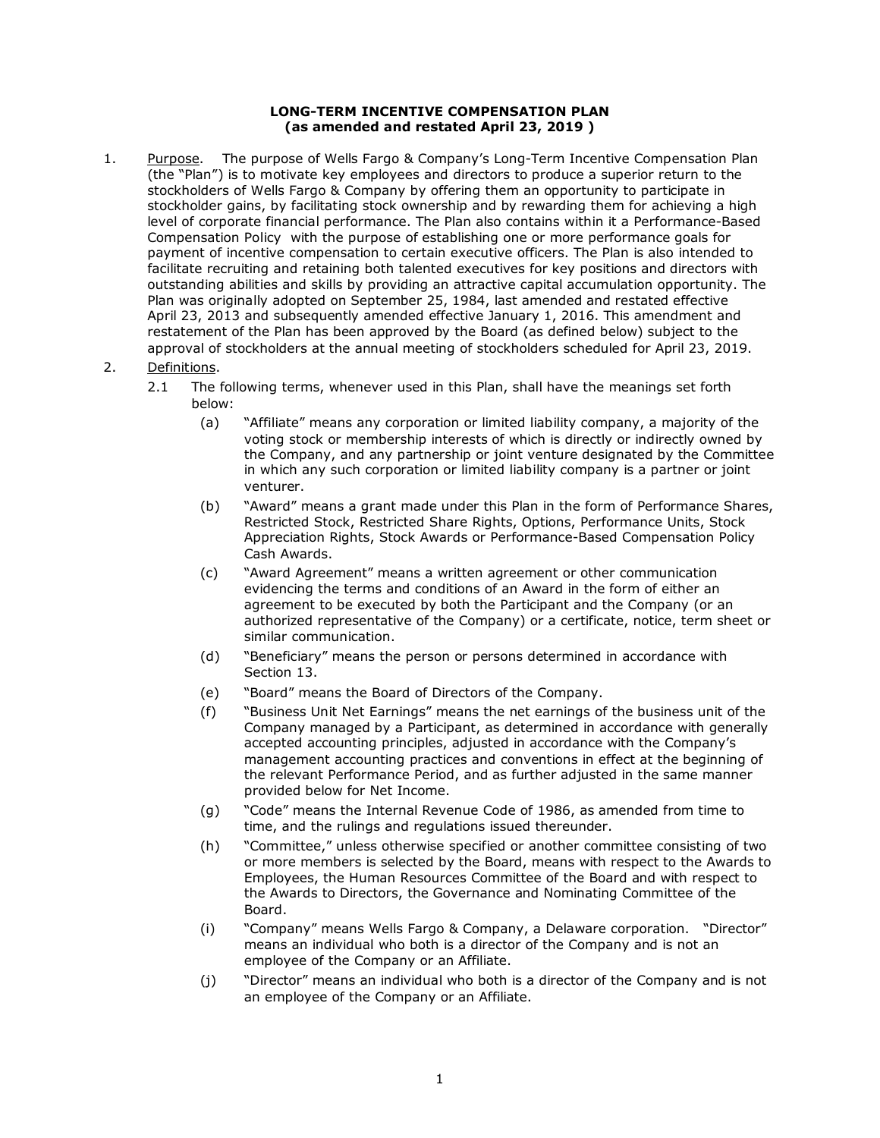## **LONG-TERM INCENTIVE COMPENSATION PLAN (as amended and restated April 23, 2019 )**

Purpose. 1. Purpose. The purpose of Wells Fargo & Company's Long-Term Incentive Compensation Plan (the "Plan") is to motivate key employees and directors to produce a superior return to the stockholders of Wells Fargo & Company by offering them an opportunity to participate in stockholder gains, by facilitating stock ownership and by rewarding them for achieving a high level of corporate financial performance. The Plan also contains within it a Performance-Based Compensation Policy with the purpose of establishing one or more performance goals for payment of incentive compensation to certain executive officers. The Plan is also intended to facilitate recruiting and retaining both talented executives for key positions and directors with outstanding abilities and skills by providing an attractive capital accumulation opportunity. The Plan was originally adopted on September 25, 1984, last amended and restated effective April 23, 2013 and subsequently amended effective January 1, 2016. This amendment and restatement of the Plan has been approved by the Board (as defined below) subject to the approval of stockholders at the annual meeting of stockholders scheduled for April 23, 2019.

## 2. Definitions.

- 2.1 The following terms, whenever used in this Plan, shall have the meanings set forth below:
	- (a) "Affiliate" means any corporation or limited liability company, a majority of the voting stock or membership interests of which is directly or indirectly owned by the Company, and any partnership or joint venture designated by the Committee in which any such corporation or limited liability company is a partner or joint venturer.
	- (b) "Award" means a grant made under this Plan in the form of Performance Shares, Restricted Stock, Restricted Share Rights, Options, Performance Units, Stock Appreciation Rights, Stock Awards or Performance-Based Compensation Policy Cash Awards.
	- (c) "Award Agreement" means a written agreement or other communication evidencing the terms and conditions of an Award in the form of either an agreement to be executed by both the Participant and the Company (or an authorized representative of the Company) or a certificate, notice, term sheet or similar communication.
	- (d) "Beneficiary" means the person or persons determined in accordance with Section 13.
	- (e) "Board" means the Board of Directors of the Company.
	- (f) "Business Unit Net Earnings" means the net earnings of the business unit of the Company managed by a Participant, as determined in accordance with generally accepted accounting principles, adjusted in accordance with the Company's management accounting practices and conventions in effect at the beginning of the relevant Performance Period, and as further adjusted in the same manner provided below for Net Income.
	- (g) "Code" means the Internal Revenue Code of 1986, as amended from time to time, and the rulings and regulations issued thereunder.
	- (h) "Committee," unless otherwise specified or another committee consisting of two or more members is selected by the Board, means with respect to the Awards to Employees, the Human Resources Committee of the Board and with respect to the Awards to Directors, the Governance and Nominating Committee of the Board.
	- (i) "Company" means Wells Fargo & Company, a Delaware corporation. "Director" means an individual who both is a director of the Company and is not an employee of the Company or an Affiliate.
	- (j) "Director" means an individual who both is a director of the Company and is not an employee of the Company or an Affiliate.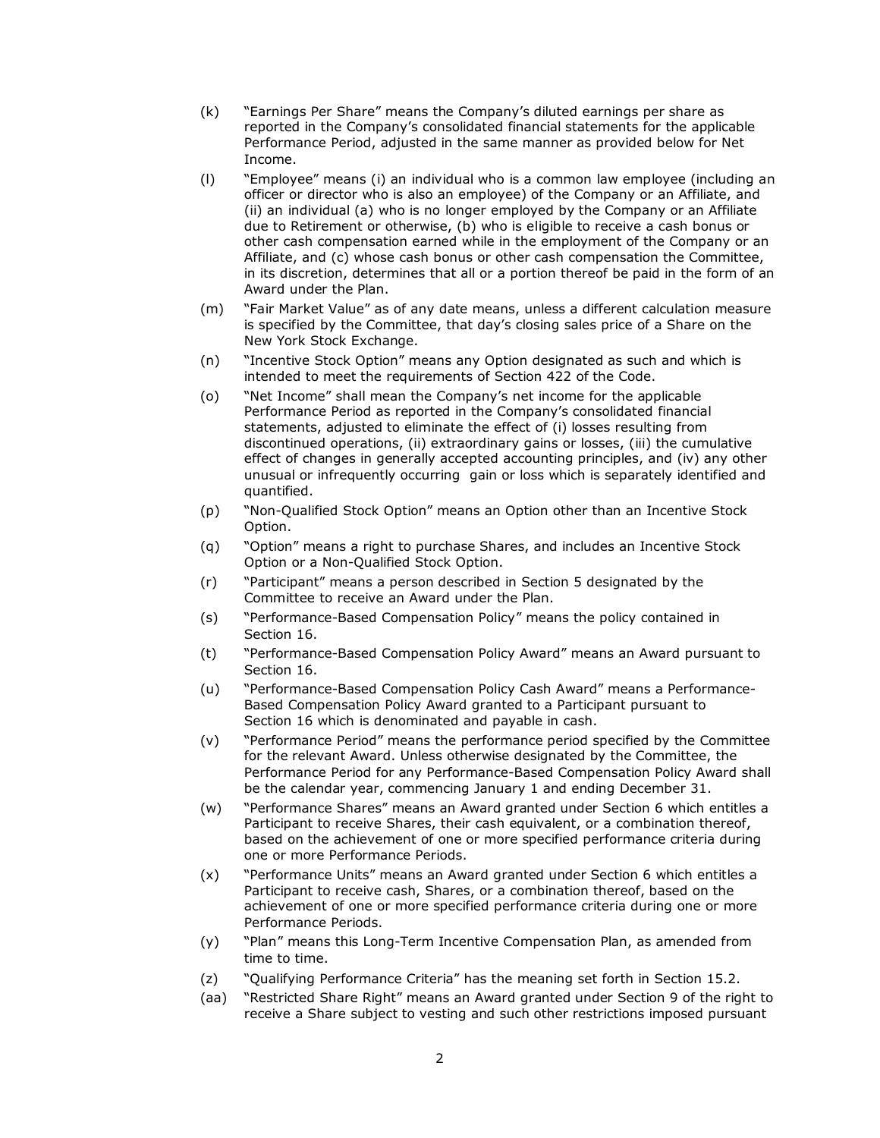- (k) "Earnings Per Share" means the Company's diluted earnings per share as reported in the Company's consolidated financial statements for the applicable Performance Period, adjusted in the same manner as provided below for Net Income.
- (l) "Employee" means (i) an individual who is a common law employee (including an officer or director who is also an employee) of the Company or an Affiliate, and (ii) an individual (a) who is no longer employed by the Company or an Affiliate due to Retirement or otherwise, (b) who is eligible to receive a cash bonus or other cash compensation earned while in the employment of the Company or an Affiliate, and (c) whose cash bonus or other cash compensation the Committee, in its discretion, determines that all or a portion thereof be paid in the form of an Award under the Plan.
- (m) "Fair Market Value" as of any date means, unless a different calculation measure is specified by the Committee, that day's closing sales price of a Share on the New York Stock Exchange.
- (n) "Incentive Stock Option" means any Option designated as such and which is intended to meet the requirements of Section 422 of the Code.
- (o) "Net Income" shall mean the Company's net income for the applicable Performance Period as reported in the Company's consolidated financial statements, adjusted to eliminate the effect of (i) losses resulting from discontinued operations, (ii) extraordinary gains or losses, (iii) the cumulative effect of changes in generally accepted accounting principles, and (iv) any other unusual or infrequently occurring gain or loss which is separately identified and quantified.
- (p) "Non-Qualified Stock Option" means an Option other than an Incentive Stock Option.
- (q) "Option" means a right to purchase Shares, and includes an Incentive Stock Option or a Non-Qualified Stock Option.
- (r) "Participant" means a person described in Section 5 designated by the Committee to receive an Award under the Plan.
- (s) "Performance-Based Compensation Policy" means the policy contained in Section 16.
- (t) "Performance-Based Compensation Policy Award" means an Award pursuant to Section 16.
- (u) "Performance-Based Compensation Policy Cash Award" means a Performance-Based Compensation Policy Award granted to a Participant pursuant to Section 16 which is denominated and payable in cash.
- (v) "Performance Period" means the performance period specified by the Committee for the relevant Award. Unless otherwise designated by the Committee, the Performance Period for any Performance-Based Compensation Policy Award shall be the calendar year, commencing January 1 and ending December 31.
- (w) "Performance Shares" means an Award granted under Section 6 which entitles a Participant to receive Shares, their cash equivalent, or a combination thereof, based on the achievement of one or more specified performance criteria during one or more Performance Periods.
- (x) "Performance Units" means an Award granted under Section 6 which entitles a Participant to receive cash, Shares, or a combination thereof, based on the achievement of one or more specified performance criteria during one or more Performance Periods.
- (y) "Plan" means this Long-Term Incentive Compensation Plan, as amended from time to time.
- (z) "Qualifying Performance Criteria" has the meaning set forth in Section 15.2.
- (aa) "Restricted Share Right" means an Award granted under Section 9 of the right to receive a Share subject to vesting and such other restrictions imposed pursuant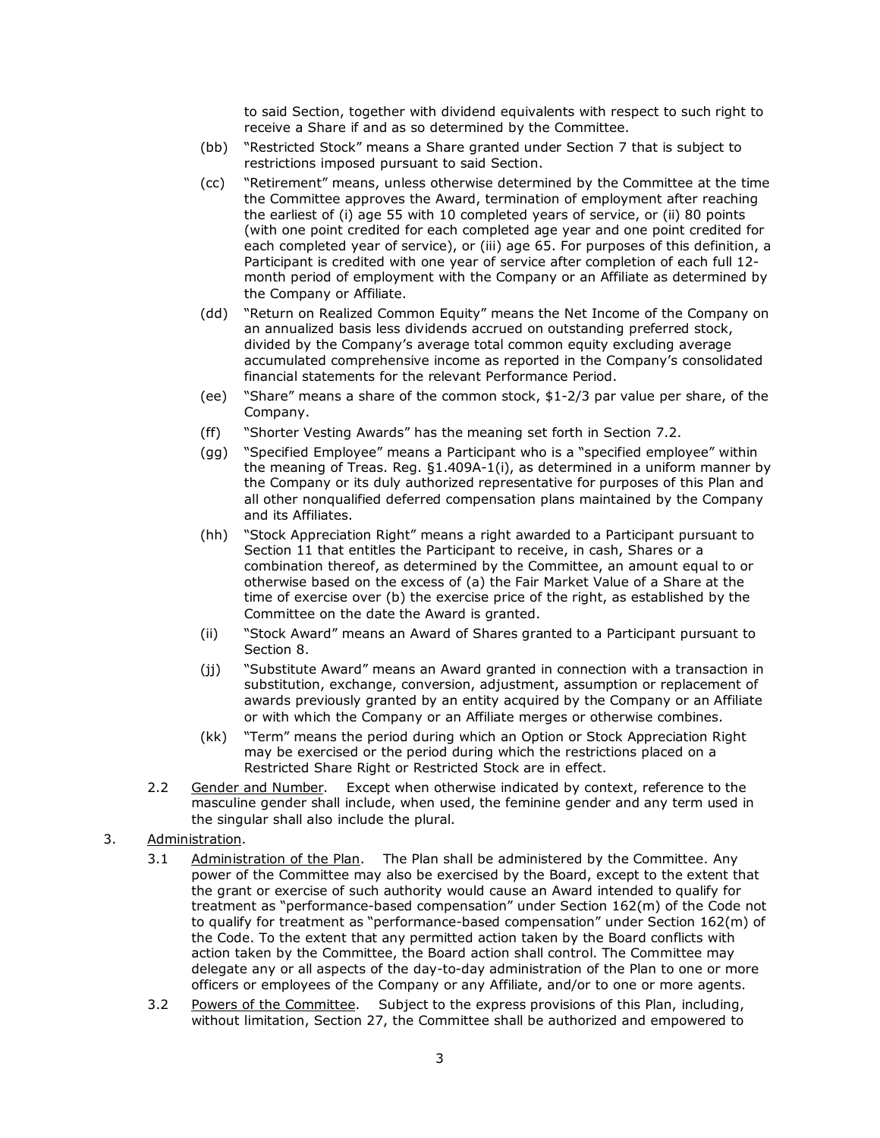to said Section, together with dividend equivalents with respect to such right to receive a Share if and as so determined by the Committee.

- (bb) "Restricted Stock" means a Share granted under Section 7 that is subject to restrictions imposed pursuant to said Section.
- (cc) "Retirement" means, unless otherwise determined by the Committee at the time the Committee approves the Award, termination of employment after reaching the earliest of (i) age 55 with 10 completed years of service, or (ii) 80 points (with one point credited for each completed age year and one point credited for each completed year of service), or (iii) age 65. For purposes of this definition, a Participant is credited with one year of service after completion of each full 12 month period of employment with the Company or an Affiliate as determined by the Company or Affiliate.
- (dd) "Return on Realized Common Equity" means the Net Income of the Company on an annualized basis less dividends accrued on outstanding preferred stock, divided by the Company's average total common equity excluding average accumulated comprehensive income as reported in the Company's consolidated financial statements for the relevant Performance Period.
- (ee) "Share" means a share of the common stock, \$1-2/3 par value per share, of the Company.
- (ff) "Shorter Vesting Awards" has the meaning set forth in Section 7.2.
- (gg) "Specified Employee" means a Participant who is a "specified employee" within the meaning of Treas. Reg. §1.409A-1(i), as determined in a uniform manner by the Company or its duly authorized representative for purposes of this Plan and all other nonqualified deferred compensation plans maintained by the Company and its Affiliates.
- (hh) "Stock Appreciation Right" means a right awarded to a Participant pursuant to Section 11 that entitles the Participant to receive, in cash, Shares or a combination thereof, as determined by the Committee, an amount equal to or otherwise based on the excess of (a) the Fair Market Value of a Share at the time of exercise over (b) the exercise price of the right, as established by the Committee on the date the Award is granted.
- (ii) "Stock Award" means an Award of Shares granted to a Participant pursuant to Section 8.
- (jj) "Substitute Award" means an Award granted in connection with a transaction in substitution, exchange, conversion, adjustment, assumption or replacement of awards previously granted by an entity acquired by the Company or an Affiliate or with which the Company or an Affiliate merges or otherwise combines.
- (kk) "Term" means the period during which an Option or Stock Appreciation Right may be exercised or the period during which the restrictions placed on a Restricted Share Right or Restricted Stock are in effect.
- 2.2 Gender and Number. Except when otherwise indicated by context, reference to the masculine gender shall include, when used, the feminine gender and any term used in the singular shall also include the plural.
- 3. Administration.
	- 3.1 Administration of the Plan. The Plan shall be administered by the Committee. Any power of the Committee may also be exercised by the Board, except to the extent that the grant or exercise of such authority would cause an Award intended to qualify for treatment as "performance-based compensation" under Section 162(m) of the Code not to qualify for treatment as "performance-based compensation" under Section 162(m) of the Code. To the extent that any permitted action taken by the Board conflicts with action taken by the Committee, the Board action shall control. The Committee may delegate any or all aspects of the day-to-day administration of the Plan to one or more officers or employees of the Company or any Affiliate, and/or to one or more agents. Administration of the Plan.
	- 3.2 Powers of the Committee. Subject to the express provisions of this Plan, including, without limitation, Section 27, the Committee shall be authorized and empowered to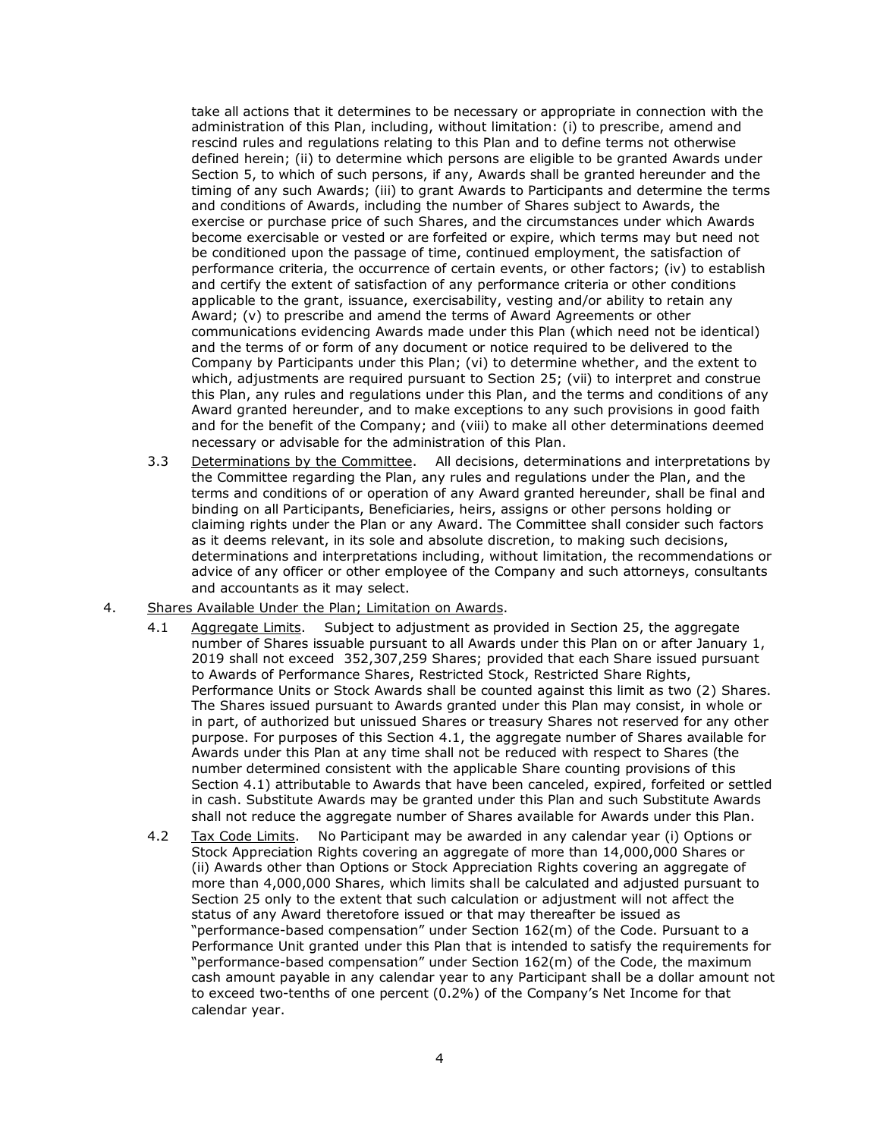take all actions that it determines to be necessary or appropriate in connection with the administration of this Plan, including, without limitation: (i) to prescribe, amend and rescind rules and regulations relating to this Plan and to define terms not otherwise defined herein; (ii) to determine which persons are eligible to be granted Awards under Section 5, to which of such persons, if any, Awards shall be granted hereunder and the timing of any such Awards; (iii) to grant Awards to Participants and determine the terms and conditions of Awards, including the number of Shares subject to Awards, the exercise or purchase price of such Shares, and the circumstances under which Awards become exercisable or vested or are forfeited or expire, which terms may but need not be conditioned upon the passage of time, continued employment, the satisfaction of performance criteria, the occurrence of certain events, or other factors; (iv) to establish and certify the extent of satisfaction of any performance criteria or other conditions applicable to the grant, issuance, exercisability, vesting and/or ability to retain any Award; (v) to prescribe and amend the terms of Award Agreements or other communications evidencing Awards made under this Plan (which need not be identical) and the terms of or form of any document or notice required to be delivered to the Company by Participants under this Plan; (vi) to determine whether, and the extent to which, adjustments are required pursuant to Section 25; (vii) to interpret and construe this Plan, any rules and regulations under this Plan, and the terms and conditions of any Award granted hereunder, and to make exceptions to any such provisions in good faith and for the benefit of the Company; and (viii) to make all other determinations deemed necessary or advisable for the administration of this Plan.

- 3.3 Determinations by the Committee. All decisions, determinations and interpretations by the Committee regarding the Plan, any rules and regulations under the Plan, and the terms and conditions of or operation of any Award granted hereunder, shall be final and binding on all Participants, Beneficiaries, heirs, assigns or other persons holding or claiming rights under the Plan or any Award. The Committee shall consider such factors as it deems relevant, in its sole and absolute discretion, to making such decisions, determinations and interpretations including, without limitation, the recommendations or advice of any officer or other employee of the Company and such attorneys, consultants and accountants as it may select.
- 4. Shares Available Under the Plan; Limitation on Awards.
	- 4.1 Aggregate Limits. Subject to adjustment as provided in Section 25, the aggregate number of Shares issuable pursuant to all Awards under this Plan on or after January 1, 2019 shall not exceed 352,307,259 Shares; provided that each Share issued pursuant to Awards of Performance Shares, Restricted Stock, Restricted Share Rights, Performance Units or Stock Awards shall be counted against this limit as two (2) Shares. The Shares issued pursuant to Awards granted under this Plan may consist, in whole or in part, of authorized but unissued Shares or treasury Shares not reserved for any other purpose. For purposes of this Section 4.1, the aggregate number of Shares available for Awards under this Plan at any time shall not be reduced with respect to Shares (the number determined consistent with the applicable Share counting provisions of this Section 4.1) attributable to Awards that have been canceled, expired, forfeited or settled in cash. Substitute Awards may be granted under this Plan and such Substitute Awards shall not reduce the aggregate number of Shares available for Awards under this Plan.
	- 4.2 Tax Code Limits. No Participant may be awarded in any calendar year (i) Options or Stock Appreciation Rights covering an aggregate of more than 14,000,000 Shares or (ii) Awards other than Options or Stock Appreciation Rights covering an aggregate of more than 4,000,000 Shares, which limits shall be calculated and adjusted pursuant to Section 25 only to the extent that such calculation or adjustment will not affect the status of any Award theretofore issued or that may thereafter be issued as "performance-based compensation" under Section 162(m) of the Code. Pursuant to a Performance Unit granted under this Plan that is intended to satisfy the requirements for "performance-based compensation" under Section 162(m) of the Code, the maximum cash amount payable in any calendar year to any Participant shall be a dollar amount not to exceed two-tenths of one percent (0.2%) of the Company's Net Income for that calendar year. Tax Code Limits.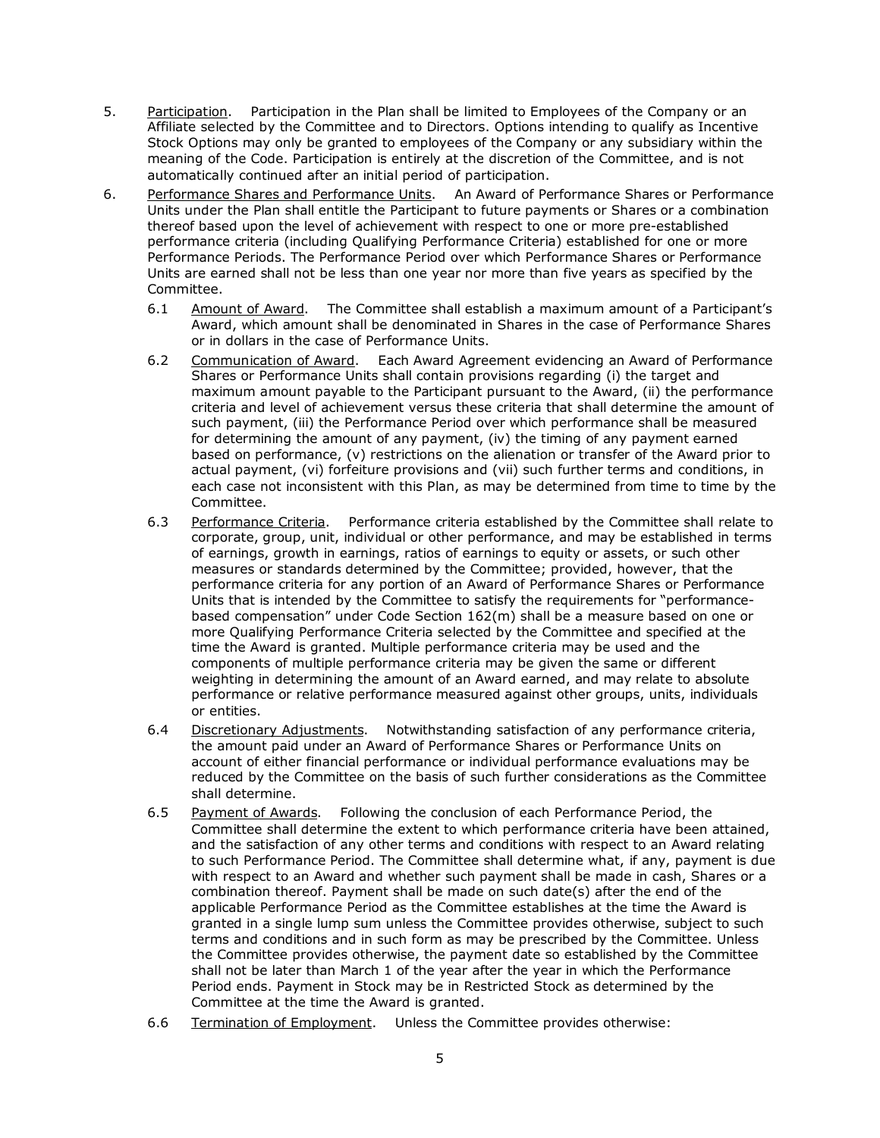- 5. Participation. Participation in the Plan shall be limited to Employees of the Company or an Affiliate selected by the Committee and to Directors. Options intending to qualify as Incentive Stock Options may only be granted to employees of the Company or any subsidiary within the meaning of the Code. Participation is entirely at the discretion of the Committee, and is not automatically continued after an initial period of participation.
- 6. Performance Shares and Performance Units. An Award of Performance Shares or Performance Units under the Plan shall entitle the Participant to future payments or Shares or a combination thereof based upon the level of achievement with respect to one or more pre-established performance criteria (including Qualifying Performance Criteria) established for one or more Performance Periods. The Performance Period over which Performance Shares or Performance Units are earned shall not be less than one year nor more than five years as specified by the Committee.
	- 6.1 Amount of Award. The Committee shall establish a maximum amount of a Participant's Award, which amount shall be denominated in Shares in the case of Performance Shares or in dollars in the case of Performance Units.
	- 6.2 Communication of Award. Each Award Agreement evidencing an Award of Performance Shares or Performance Units shall contain provisions regarding (i) the target and maximum amount payable to the Participant pursuant to the Award, (ii) the performance criteria and level of achievement versus these criteria that shall determine the amount of such payment, (iii) the Performance Period over which performance shall be measured for determining the amount of any payment, (iv) the timing of any payment earned based on performance, (v) restrictions on the alienation or transfer of the Award prior to actual payment, (vi) forfeiture provisions and (vii) such further terms and conditions, in each case not inconsistent with this Plan, as may be determined from time to time by the Committee.
	- 6.3 Performance Criteria. Performance criteria established by the Committee shall relate to corporate, group, unit, individual or other performance, and may be established in terms of earnings, growth in earnings, ratios of earnings to equity or assets, or such other measures or standards determined by the Committee; provided, however, that the performance criteria for any portion of an Award of Performance Shares or Performance Units that is intended by the Committee to satisfy the requirements for "performancebased compensation" under Code Section 162(m) shall be a measure based on one or more Qualifying Performance Criteria selected by the Committee and specified at the time the Award is granted. Multiple performance criteria may be used and the components of multiple performance criteria may be given the same or different weighting in determining the amount of an Award earned, and may relate to absolute performance or relative performance measured against other groups, units, individuals or entities.
	- 6.4 Discretionary Adjustments. Notwithstanding satisfaction of any performance criteria, the amount paid under an Award of Performance Shares or Performance Units on account of either financial performance or individual performance evaluations may be reduced by the Committee on the basis of such further considerations as the Committee shall determine. Discretionary Adjustments.
	- 6.5 Payment of Awards. Following the conclusion of each Performance Period, the Committee shall determine the extent to which performance criteria have been attained, and the satisfaction of any other terms and conditions with respect to an Award relating to such Performance Period. The Committee shall determine what, if any, payment is due with respect to an Award and whether such payment shall be made in cash, Shares or a combination thereof. Payment shall be made on such date(s) after the end of the applicable Performance Period as the Committee establishes at the time the Award is granted in a single lump sum unless the Committee provides otherwise, subject to such terms and conditions and in such form as may be prescribed by the Committee. Unless the Committee provides otherwise, the payment date so established by the Committee shall not be later than March 1 of the year after the year in which the Performance Period ends. Payment in Stock may be in Restricted Stock as determined by the Committee at the time the Award is granted. Payment of Awards.
	- 6.6 Termination of Employment. Unless the Committee provides otherwise: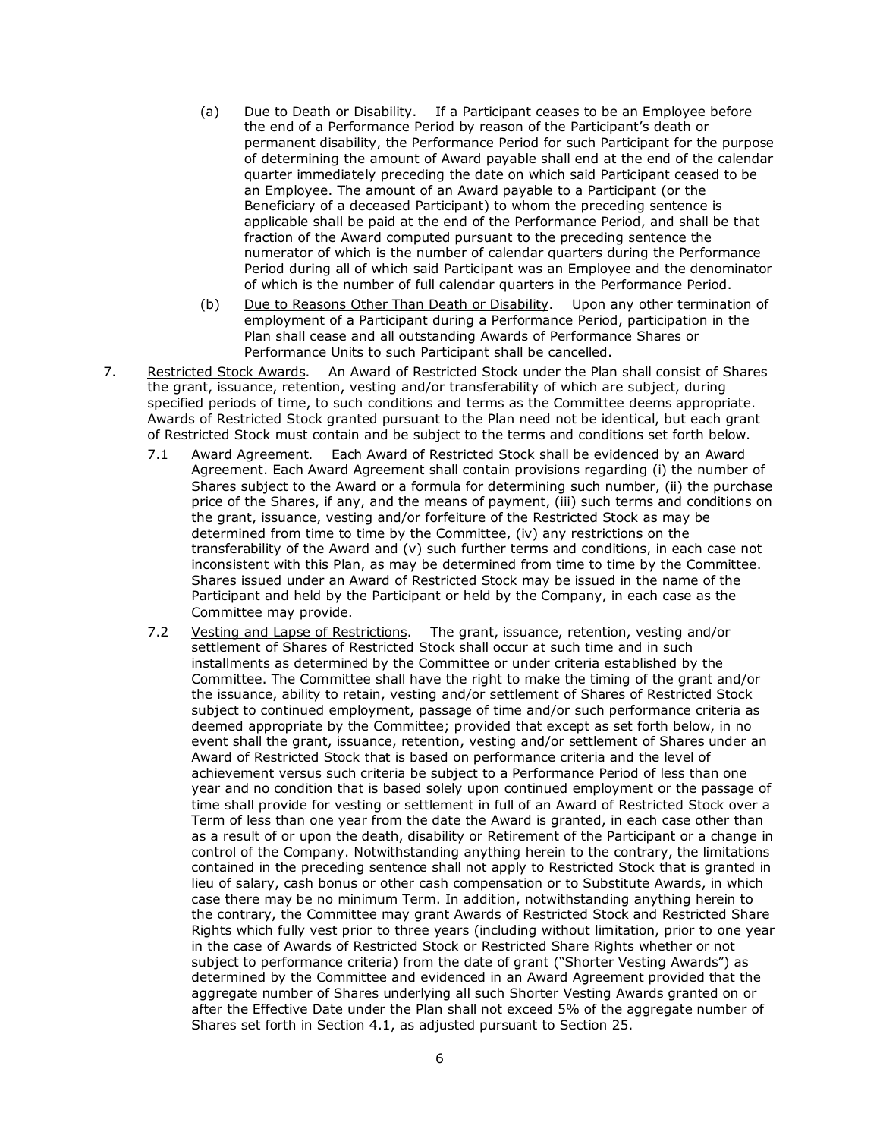- (a) Due to Death or Disability. If a Participant ceases to be an Employee before the end of a Performance Period by reason of the Participant's death or permanent disability, the Performance Period for such Participant for the purpose of determining the amount of Award payable shall end at the end of the calendar quarter immediately preceding the date on which said Participant ceased to be an Employee. The amount of an Award payable to a Participant (or the Beneficiary of a deceased Participant) to whom the preceding sentence is applicable shall be paid at the end of the Performance Period, and shall be that fraction of the Award computed pursuant to the preceding sentence the numerator of which is the number of calendar quarters during the Performance Period during all of which said Participant was an Employee and the denominator of which is the number of full calendar quarters in the Performance Period.
- (b) Due to Reasons Other Than Death or Disability. Upon any other termination of employment of a Participant during a Performance Period, participation in the Plan shall cease and all outstanding Awards of Performance Shares or Performance Units to such Participant shall be cancelled.
- 7. Restricted Stock Awards. An Award of Restricted Stock under the Plan shall consist of Shares the grant, issuance, retention, vesting and/or transferability of which are subject, during specified periods of time, to such conditions and terms as the Committee deems appropriate. Awards of Restricted Stock granted pursuant to the Plan need not be identical, but each grant of Restricted Stock must contain and be subject to the terms and conditions set forth below.
	- 7.1 Award Agreement. Each Award of Restricted Stock shall be evidenced by an Award Agreement. Each Award Agreement shall contain provisions regarding (i) the number of Shares subject to the Award or a formula for determining such number, (ii) the purchase price of the Shares, if any, and the means of payment, (iii) such terms and conditions on the grant, issuance, vesting and/or forfeiture of the Restricted Stock as may be determined from time to time by the Committee, (iv) any restrictions on the transferability of the Award and  $(v)$  such further terms and conditions, in each case not inconsistent with this Plan, as may be determined from time to time by the Committee. Shares issued under an Award of Restricted Stock may be issued in the name of the Participant and held by the Participant or held by the Company, in each case as the Committee may provide.
	- 7.2 Vesting and Lapse of Restrictions. The grant, issuance, retention, vesting and/or settlement of Shares of Restricted Stock shall occur at such time and in such installments as determined by the Committee or under criteria established by the Committee. The Committee shall have the right to make the timing of the grant and/or the issuance, ability to retain, vesting and/or settlement of Shares of Restricted Stock subject to continued employment, passage of time and/or such performance criteria as deemed appropriate by the Committee; provided that except as set forth below, in no event shall the grant, issuance, retention, vesting and/or settlement of Shares under an Award of Restricted Stock that is based on performance criteria and the level of achievement versus such criteria be subject to a Performance Period of less than one year and no condition that is based solely upon continued employment or the passage of time shall provide for vesting or settlement in full of an Award of Restricted Stock over a Term of less than one year from the date the Award is granted, in each case other than as a result of or upon the death, disability or Retirement of the Participant or a change in control of the Company. Notwithstanding anything herein to the contrary, the limitations contained in the preceding sentence shall not apply to Restricted Stock that is granted in lieu of salary, cash bonus or other cash compensation or to Substitute Awards, in which case there may be no minimum Term. In addition, notwithstanding anything herein to the contrary, the Committee may grant Awards of Restricted Stock and Restricted Share Rights which fully vest prior to three years (including without limitation, prior to one year in the case of Awards of Restricted Stock or Restricted Share Rights whether or not subject to performance criteria) from the date of grant ("Shorter Vesting Awards") as determined by the Committee and evidenced in an Award Agreement provided that the aggregate number of Shares underlying all such Shorter Vesting Awards granted on or after the Effective Date under the Plan shall not exceed 5% of the aggregate number of Shares set forth in Section 4.1, as adjusted pursuant to Section 25.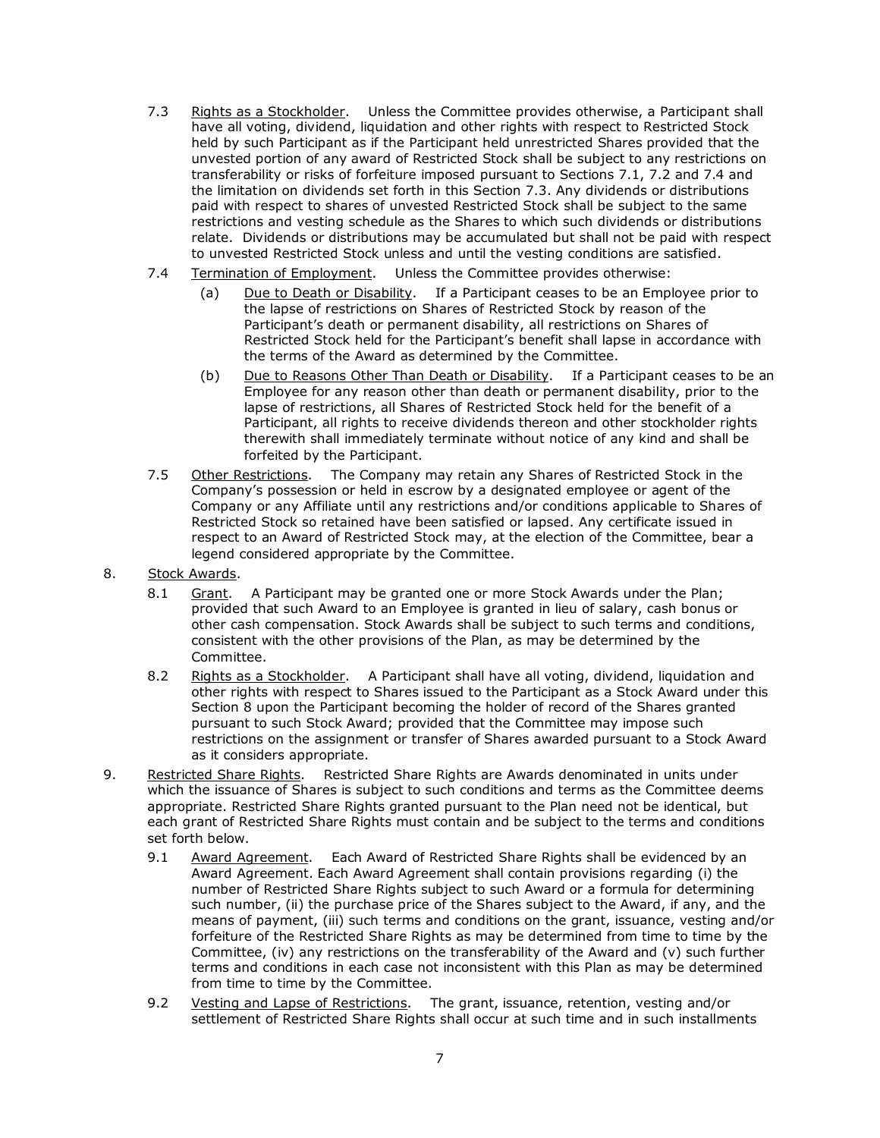- 7.3 Rights as a Stockholder. Unless the Committee provides otherwise, a Participant shall have all voting, dividend, liquidation and other rights with respect to Restricted Stock held by such Participant as if the Participant held unrestricted Shares provided that the unvested portion of any award of Restricted Stock shall be subject to any restrictions on transferability or risks of forfeiture imposed pursuant to Sections 7.1, 7.2 and 7.4 and the limitation on dividends set forth in this Section 7.3. Any dividends or distributions paid with respect to shares of unvested Restricted Stock shall be subject to the same restrictions and vesting schedule as the Shares to which such dividends or distributions relate. Dividends or distributions may be accumulated but shall not be paid with respect to unvested Restricted Stock unless and until the vesting conditions are satisfied.
- 7.4 Termination of Employment. Unless the Committee provides otherwise:
	- (a) Due to Death or Disability. If a Participant ceases to be an Employee prior to the lapse of restrictions on Shares of Restricted Stock by reason of the Participant's death or permanent disability, all restrictions on Shares of Restricted Stock held for the Participant's benefit shall lapse in accordance with the terms of the Award as determined by the Committee.
	- (b) Due to Reasons Other Than Death or Disability. If a Participant ceases to be an Employee for any reason other than death or permanent disability, prior to the lapse of restrictions, all Shares of Restricted Stock held for the benefit of a Participant, all rights to receive dividends thereon and other stockholder rights therewith shall immediately terminate without notice of any kind and shall be forfeited by the Participant.
- 7.5 Other Restrictions. The Company may retain any Shares of Restricted Stock in the Company's possession or held in escrow by a designated employee or agent of the Company or any Affiliate until any restrictions and/or conditions applicable to Shares of Restricted Stock so retained have been satisfied or lapsed. Any certificate issued in respect to an Award of Restricted Stock may, at the election of the Committee, bear a legend considered appropriate by the Committee. Other Restrictions.
- 8. Stock Awards.
	- 8.1 Grant. A Participant may be granted one or more Stock Awards under the Plan; provided that such Award to an Employee is granted in lieu of salary, cash bonus or other cash compensation. Stock Awards shall be subject to such terms and conditions, consistent with the other provisions of the Plan, as may be determined by the Committee.
	- 8.2 Rights as a Stockholder. A Participant shall have all voting, dividend, liquidation and other rights with respect to Shares issued to the Participant as a Stock Award under this Section 8 upon the Participant becoming the holder of record of the Shares granted pursuant to such Stock Award; provided that the Committee may impose such restrictions on the assignment or transfer of Shares awarded pursuant to a Stock Award as it considers appropriate.
- 9. Restricted Share Rights. Restricted Share Rights are Awards denominated in units under which the issuance of Shares is subject to such conditions and terms as the Committee deems appropriate. Restricted Share Rights granted pursuant to the Plan need not be identical, but each grant of Restricted Share Rights must contain and be subject to the terms and conditions set forth below.
	- 9.1 Award Agreement. Each Award of Restricted Share Rights shall be evidenced by an Award Agreement. Each Award Agreement shall contain provisions regarding (i) the number of Restricted Share Rights subject to such Award or a formula for determining such number, (ii) the purchase price of the Shares subject to the Award, if any, and the means of payment, (iii) such terms and conditions on the grant, issuance, vesting and/or forfeiture of the Restricted Share Rights as may be determined from time to time by the Committee, (iv) any restrictions on the transferability of the Award and (v) such further terms and conditions in each case not inconsistent with this Plan as may be determined from time to time by the Committee.
	- 9.2 Vesting and Lapse of Restrictions. The grant, issuance, retention, vesting and/or settlement of Restricted Share Rights shall occur at such time and in such installments Vesting and Lapse of Restrictions.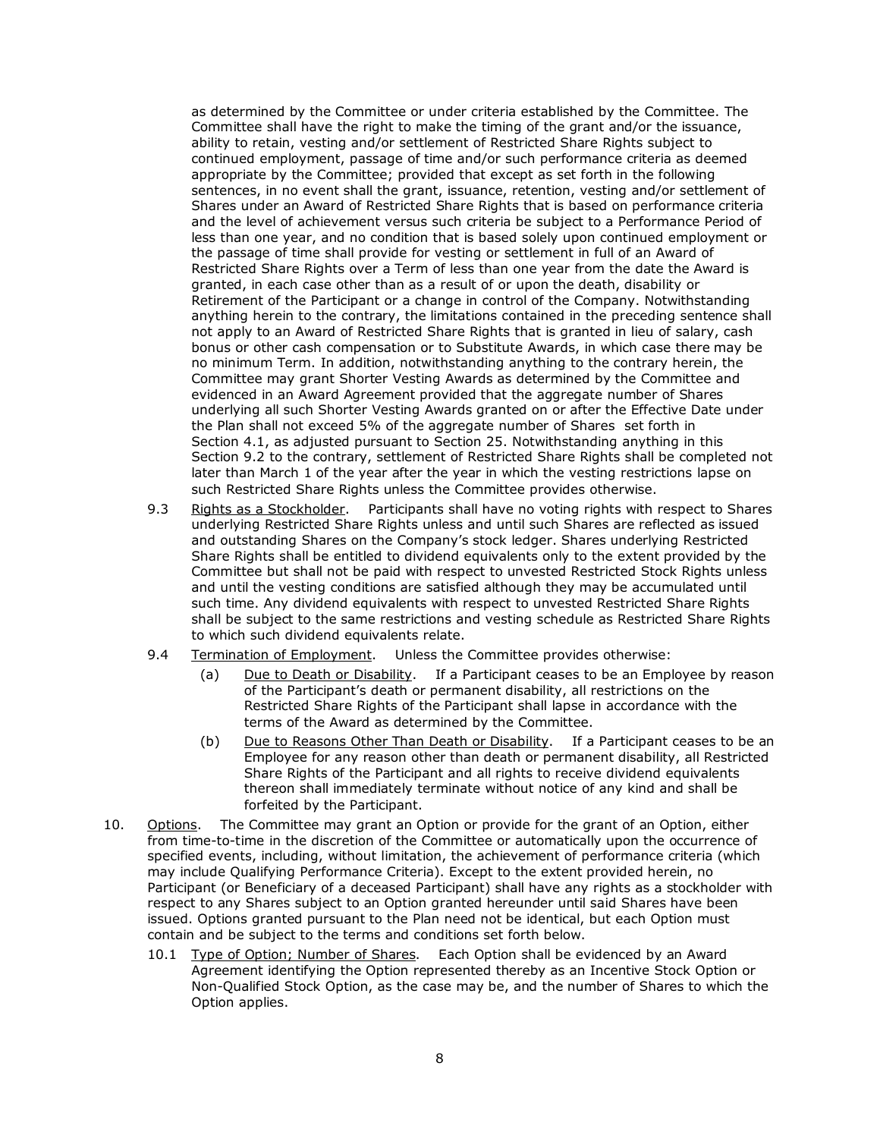as determined by the Committee or under criteria established by the Committee. The Committee shall have the right to make the timing of the grant and/or the issuance, ability to retain, vesting and/or settlement of Restricted Share Rights subject to continued employment, passage of time and/or such performance criteria as deemed appropriate by the Committee; provided that except as set forth in the following sentences, in no event shall the grant, issuance, retention, vesting and/or settlement of Shares under an Award of Restricted Share Rights that is based on performance criteria and the level of achievement versus such criteria be subject to a Performance Period of less than one year, and no condition that is based solely upon continued employment or the passage of time shall provide for vesting or settlement in full of an Award of Restricted Share Rights over a Term of less than one year from the date the Award is granted, in each case other than as a result of or upon the death, disability or Retirement of the Participant or a change in control of the Company. Notwithstanding anything herein to the contrary, the limitations contained in the preceding sentence shall not apply to an Award of Restricted Share Rights that is granted in lieu of salary, cash bonus or other cash compensation or to Substitute Awards, in which case there may be no minimum Term. In addition, notwithstanding anything to the contrary herein, the Committee may grant Shorter Vesting Awards as determined by the Committee and evidenced in an Award Agreement provided that the aggregate number of Shares underlying all such Shorter Vesting Awards granted on or after the Effective Date under the Plan shall not exceed 5% of the aggregate number of Shares set forth in Section 4.1, as adjusted pursuant to Section 25. Notwithstanding anything in this Section 9.2 to the contrary, settlement of Restricted Share Rights shall be completed not later than March 1 of the year after the year in which the vesting restrictions lapse on such Restricted Share Rights unless the Committee provides otherwise.

- 9.3 Rights as a Stockholder. Participants shall have no voting rights with respect to Shares underlying Restricted Share Rights unless and until such Shares are reflected as issued and outstanding Shares on the Company's stock ledger. Shares underlying Restricted Share Rights shall be entitled to dividend equivalents only to the extent provided by the Committee but shall not be paid with respect to unvested Restricted Stock Rights unless and until the vesting conditions are satisfied although they may be accumulated until such time. Any dividend equivalents with respect to unvested Restricted Share Rights shall be subject to the same restrictions and vesting schedule as Restricted Share Rights to which such dividend equivalents relate.
- 9.4 Termination of Employment. Unless the Committee provides otherwise:
	- (a) Due to Death or Disability. If a Participant ceases to be an Employee by reason of the Participant's death or permanent disability, all restrictions on the Restricted Share Rights of the Participant shall lapse in accordance with the terms of the Award as determined by the Committee.
	- (b) Due to Reasons Other Than Death or Disability. If a Participant ceases to be an Employee for any reason other than death or permanent disability, all Restricted Share Rights of the Participant and all rights to receive dividend equivalents thereon shall immediately terminate without notice of any kind and shall be forfeited by the Participant.
- 10. Options. The Committee may grant an Option or provide for the grant of an Option, either from time-to-time in the discretion of the Committee or automatically upon the occurrence of specified events, including, without limitation, the achievement of performance criteria (which may include Qualifying Performance Criteria). Except to the extent provided herein, no Participant (or Beneficiary of a deceased Participant) shall have any rights as a stockholder with respect to any Shares subject to an Option granted hereunder until said Shares have been issued. Options granted pursuant to the Plan need not be identical, but each Option must contain and be subject to the terms and conditions set forth below.
	- 10.1 Type of Option; Number of Shares. Each Option shall be evidenced by an Award Agreement identifying the Option represented thereby as an Incentive Stock Option or Non-Qualified Stock Option, as the case may be, and the number of Shares to which the Option applies.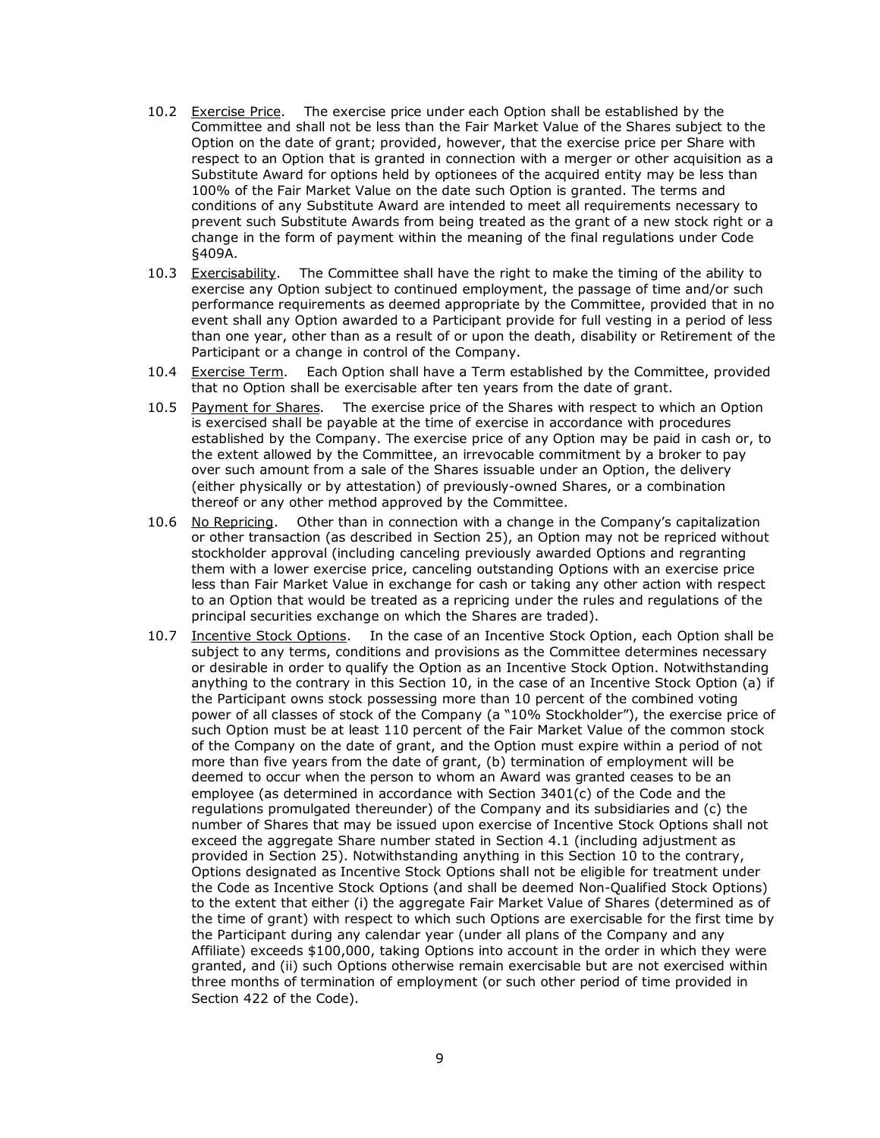- 10.2 Exercise Price. The exercise price under each Option shall be established by the Committee and shall not be less than the Fair Market Value of the Shares subject to the Option on the date of grant; provided, however, that the exercise price per Share with respect to an Option that is granted in connection with a merger or other acquisition as a Substitute Award for options held by optionees of the acquired entity may be less than 100% of the Fair Market Value on the date such Option is granted. The terms and conditions of any Substitute Award are intended to meet all requirements necessary to prevent such Substitute Awards from being treated as the grant of a new stock right or a change in the form of payment within the meaning of the final regulations under Code §409A.
- 10.3 Exercisability. The Committee shall have the right to make the timing of the ability to exercise any Option subject to continued employment, the passage of time and/or such performance requirements as deemed appropriate by the Committee, provided that in no event shall any Option awarded to a Participant provide for full vesting in a period of less than one year, other than as a result of or upon the death, disability or Retirement of the Participant or a change in control of the Company.
- Each Option shall have a Term established by the Committee, provided that no Option shall be exercisable after ten years from the date of grant. 10.4 Exercise Term.
- 10.5 Payment for Shares. The exercise price of the Shares with respect to which an Option is exercised shall be payable at the time of exercise in accordance with procedures established by the Company. The exercise price of any Option may be paid in cash or, to the extent allowed by the Committee, an irrevocable commitment by a broker to pay over such amount from a sale of the Shares issuable under an Option, the delivery (either physically or by attestation) of previously-owned Shares, or a combination thereof or any other method approved by the Committee.
- 10.6 No Repricing. Other than in connection with a change in the Company's capitalization or other transaction (as described in Section 25), an Option may not be repriced without stockholder approval (including canceling previously awarded Options and regranting them with a lower exercise price, canceling outstanding Options with an exercise price less than Fair Market Value in exchange for cash or taking any other action with respect to an Option that would be treated as a repricing under the rules and regulations of the principal securities exchange on which the Shares are traded).
- 10.7 Incentive Stock Options. In the case of an Incentive Stock Option, each Option shall be subject to any terms, conditions and provisions as the Committee determines necessary or desirable in order to qualify the Option as an Incentive Stock Option. Notwithstanding anything to the contrary in this Section 10, in the case of an Incentive Stock Option (a) if the Participant owns stock possessing more than 10 percent of the combined voting power of all classes of stock of the Company (a "10% Stockholder"), the exercise price of such Option must be at least 110 percent of the Fair Market Value of the common stock of the Company on the date of grant, and the Option must expire within a period of not more than five years from the date of grant, (b) termination of employment will be deemed to occur when the person to whom an Award was granted ceases to be an employee (as determined in accordance with Section 3401(c) of the Code and the regulations promulgated thereunder) of the Company and its subsidiaries and (c) the number of Shares that may be issued upon exercise of Incentive Stock Options shall not exceed the aggregate Share number stated in Section 4.1 (including adjustment as provided in Section 25). Notwithstanding anything in this Section 10 to the contrary, Options designated as Incentive Stock Options shall not be eligible for treatment under the Code as Incentive Stock Options (and shall be deemed Non-Qualified Stock Options) to the extent that either (i) the aggregate Fair Market Value of Shares (determined as of the time of grant) with respect to which such Options are exercisable for the first time by the Participant during any calendar year (under all plans of the Company and any Affiliate) exceeds \$100,000, taking Options into account in the order in which they were granted, and (ii) such Options otherwise remain exercisable but are not exercised within three months of termination of employment (or such other period of time provided in Section 422 of the Code).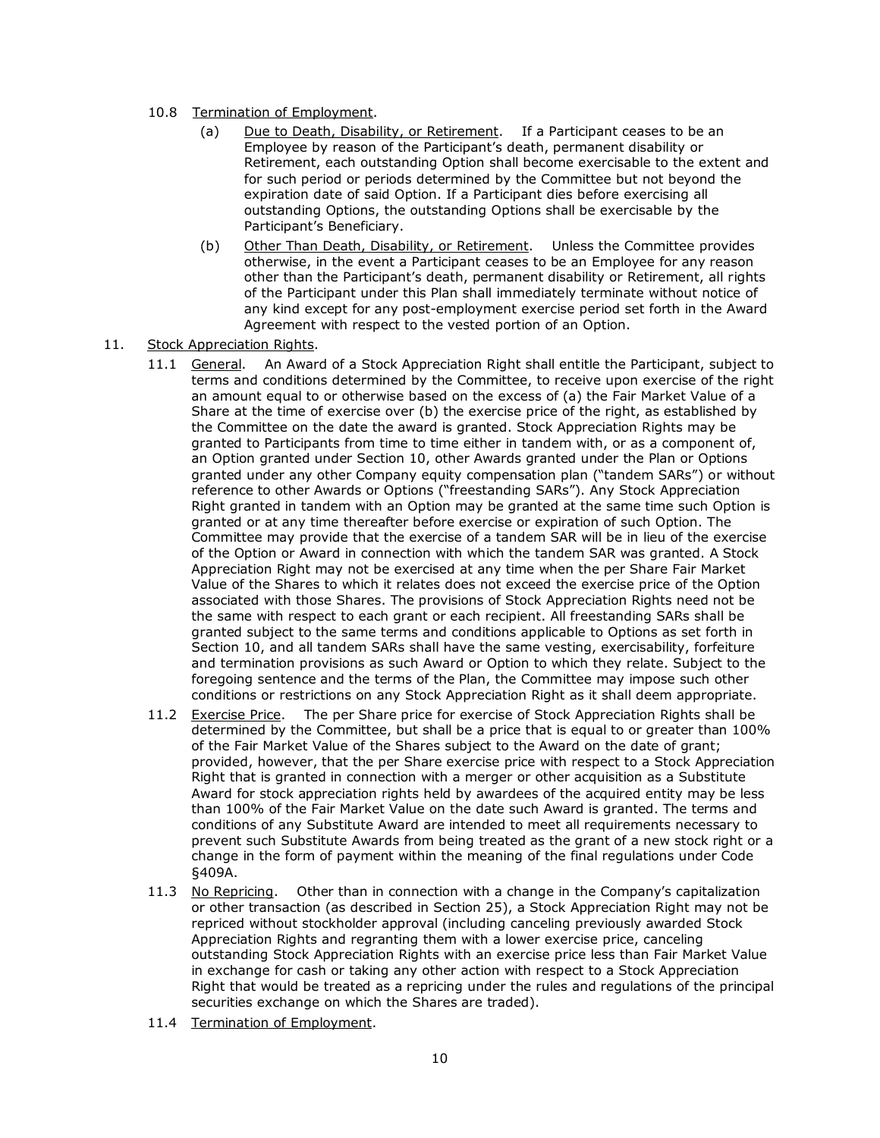- 10.8 Termination of Employment.
	- (a) Due to Death, Disability, or Retirement. If a Participant ceases to be an Employee by reason of the Participant's death, permanent disability or Retirement, each outstanding Option shall become exercisable to the extent and for such period or periods determined by the Committee but not beyond the expiration date of said Option. If a Participant dies before exercising all outstanding Options, the outstanding Options shall be exercisable by the Participant's Beneficiary.
	- (b) Other Than Death, Disability, or Retirement. Unless the Committee provides otherwise, in the event a Participant ceases to be an Employee for any reason other than the Participant's death, permanent disability or Retirement, all rights of the Participant under this Plan shall immediately terminate without notice of any kind except for any post-employment exercise period set forth in the Award Agreement with respect to the vested portion of an Option.
- 11. Stock Appreciation Rights.
	- An Award of a Stock Appreciation Right shall entitle the Participant, subject to terms and conditions determined by the Committee, to receive upon exercise of the right an amount equal to or otherwise based on the excess of (a) the Fair Market Value of a Share at the time of exercise over (b) the exercise price of the right, as established by the Committee on the date the award is granted. Stock Appreciation Rights may be granted to Participants from time to time either in tandem with, or as a component of, an Option granted under Section 10, other Awards granted under the Plan or Options granted under any other Company equity compensation plan ("tandem SARs") or without reference to other Awards or Options ("freestanding SARs"). Any Stock Appreciation Right granted in tandem with an Option may be granted at the same time such Option is granted or at any time thereafter before exercise or expiration of such Option. The Committee may provide that the exercise of a tandem SAR will be in lieu of the exercise of the Option or Award in connection with which the tandem SAR was granted. A Stock Appreciation Right may not be exercised at any time when the per Share Fair Market Value of the Shares to which it relates does not exceed the exercise price of the Option associated with those Shares. The provisions of Stock Appreciation Rights need not be the same with respect to each grant or each recipient. All freestanding SARs shall be granted subject to the same terms and conditions applicable to Options as set forth in Section 10, and all tandem SARs shall have the same vesting, exercisability, forfeiture and termination provisions as such Award or Option to which they relate. Subject to the foregoing sentence and the terms of the Plan, the Committee may impose such other conditions or restrictions on any Stock Appreciation Right as it shall deem appropriate. 11.1 General.
	- The per Share price for exercise of Stock Appreciation Rights shall be determined by the Committee, but shall be a price that is equal to or greater than 100% of the Fair Market Value of the Shares subject to the Award on the date of grant; provided, however, that the per Share exercise price with respect to a Stock Appreciation Right that is granted in connection with a merger or other acquisition as a Substitute Award for stock appreciation rights held by awardees of the acquired entity may be less than 100% of the Fair Market Value on the date such Award is granted. The terms and conditions of any Substitute Award are intended to meet all requirements necessary to prevent such Substitute Awards from being treated as the grant of a new stock right or a change in the form of payment within the meaning of the final regulations under Code §409A. 11.2 Exercise Price.
	- 11.3 No Repricing. Other than in connection with a change in the Company's capitalization or other transaction (as described in Section 25), a Stock Appreciation Right may not be repriced without stockholder approval (including canceling previously awarded Stock Appreciation Rights and regranting them with a lower exercise price, canceling outstanding Stock Appreciation Rights with an exercise price less than Fair Market Value in exchange for cash or taking any other action with respect to a Stock Appreciation Right that would be treated as a repricing under the rules and regulations of the principal securities exchange on which the Shares are traded).
	- 11.4 Termination of Employment.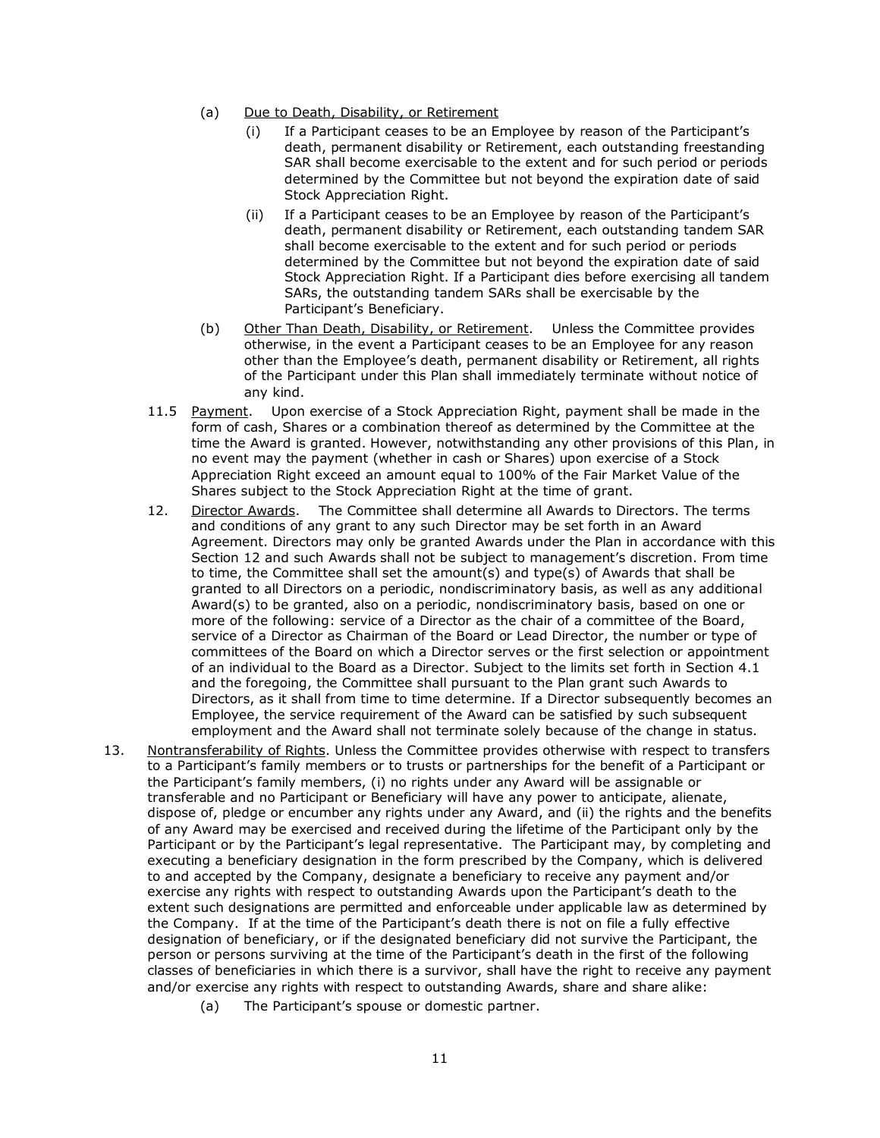- (a) Due to Death, Disability, or Retirement
	- (i) If a Participant ceases to be an Employee by reason of the Participant's death, permanent disability or Retirement, each outstanding freestanding SAR shall become exercisable to the extent and for such period or periods determined by the Committee but not beyond the expiration date of said Stock Appreciation Right.
	- (ii) If a Participant ceases to be an Employee by reason of the Participant's death, permanent disability or Retirement, each outstanding tandem SAR shall become exercisable to the extent and for such period or periods determined by the Committee but not beyond the expiration date of said Stock Appreciation Right. If a Participant dies before exercising all tandem SARs, the outstanding tandem SARs shall be exercisable by the Participant's Beneficiary.
- (b) Other Than Death, Disability, or Retirement. Unless the Committee provides otherwise, in the event a Participant ceases to be an Employee for any reason other than the Employee's death, permanent disability or Retirement, all rights of the Participant under this Plan shall immediately terminate without notice of any kind.
- Upon exercise of a Stock Appreciation Right, payment shall be made in the form of cash, Shares or a combination thereof as determined by the Committee at the time the Award is granted. However, notwithstanding any other provisions of this Plan, in no event may the payment (whether in cash or Shares) upon exercise of a Stock Appreciation Right exceed an amount equal to 100% of the Fair Market Value of the Shares subject to the Stock Appreciation Right at the time of grant. 11.5 Payment.
- 12. Director Awards. The Committee shall determine all Awards to Directors. The terms and conditions of any grant to any such Director may be set forth in an Award Agreement. Directors may only be granted Awards under the Plan in accordance with this Section 12 and such Awards shall not be subject to management's discretion. From time to time, the Committee shall set the amount(s) and type(s) of Awards that shall be granted to all Directors on a periodic, nondiscriminatory basis, as well as any additional Award(s) to be granted, also on a periodic, nondiscriminatory basis, based on one or more of the following: service of a Director as the chair of a committee of the Board, service of a Director as Chairman of the Board or Lead Director, the number or type of committees of the Board on which a Director serves or the first selection or appointment of an individual to the Board as a Director. Subject to the limits set forth in Section 4.1 and the foregoing, the Committee shall pursuant to the Plan grant such Awards to Directors, as it shall from time to time determine. If a Director subsequently becomes an Employee, the service requirement of the Award can be satisfied by such subsequent employment and the Award shall not terminate solely because of the change in status.
- 13. Nontransferability of Rights. Unless the Committee provides otherwise with respect to transfers to a Participant's family members or to trusts or partnerships for the benefit of a Participant or the Participant's family members, (i) no rights under any Award will be assignable or transferable and no Participant or Beneficiary will have any power to anticipate, alienate, dispose of, pledge or encumber any rights under any Award, and (ii) the rights and the benefits of any Award may be exercised and received during the lifetime of the Participant only by the Participant or by the Participant's legal representative. The Participant may, by completing and executing a beneficiary designation in the form prescribed by the Company, which is delivered to and accepted by the Company, designate a beneficiary to receive any payment and/or exercise any rights with respect to outstanding Awards upon the Participant's death to the extent such designations are permitted and enforceable under applicable law as determined by the Company. If at the time of the Participant's death there is not on file a fully effective designation of beneficiary, or if the designated beneficiary did not survive the Participant, the person or persons surviving at the time of the Participant's death in the first of the following classes of beneficiaries in which there is a survivor, shall have the right to receive any payment and/or exercise any rights with respect to outstanding Awards, share and share alike:
	- (a) The Participant's spouse or domestic partner.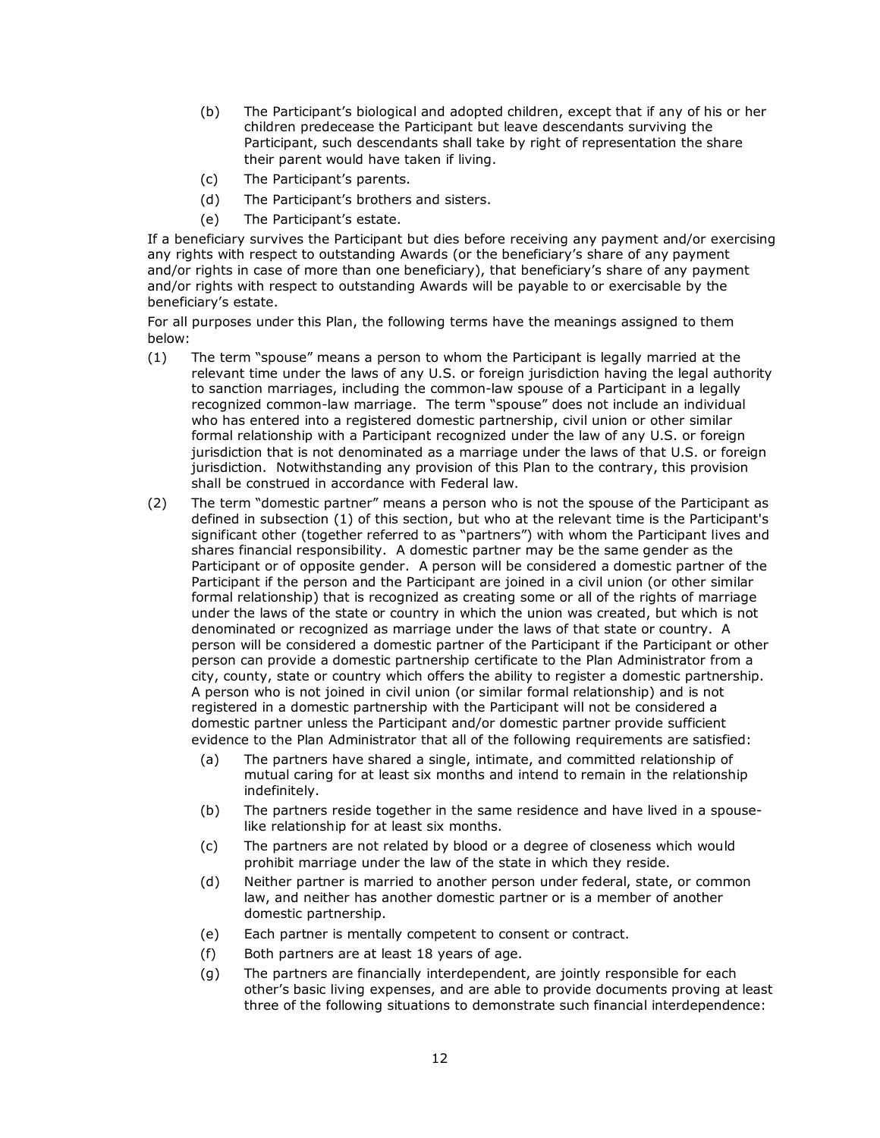- (b) The Participant's biological and adopted children, except that if any of his or her children predecease the Participant but leave descendants surviving the Participant, such descendants shall take by right of representation the share their parent would have taken if living.
- (c) The Participant's parents.
- (d) The Participant's brothers and sisters.
- (e) The Participant's estate.

If a beneficiary survives the Participant but dies before receiving any payment and/or exercising any rights with respect to outstanding Awards (or the beneficiary's share of any payment and/or rights in case of more than one beneficiary), that beneficiary's share of any payment and/or rights with respect to outstanding Awards will be payable to or exercisable by the beneficiary's estate.

For all purposes under this Plan, the following terms have the meanings assigned to them below:

- (1) The term "spouse" means a person to whom the Participant is legally married at the relevant time under the laws of any U.S. or foreign jurisdiction having the legal authority to sanction marriages, including the common-law spouse of a Participant in a legally recognized common-law marriage. The term "spouse" does not include an individual who has entered into a registered domestic partnership, civil union or other similar formal relationship with a Participant recognized under the law of any U.S. or foreign jurisdiction that is not denominated as a marriage under the laws of that U.S. or foreign jurisdiction. Notwithstanding any provision of this Plan to the contrary, this provision shall be construed in accordance with Federal law.
- (2) The term "domestic partner" means a person who is not the spouse of the Participant as defined in subsection (1) of this section, but who at the relevant time is the Participant's significant other (together referred to as "partners") with whom the Participant lives and shares financial responsibility. A domestic partner may be the same gender as the Participant or of opposite gender. A person will be considered a domestic partner of the Participant if the person and the Participant are joined in a civil union (or other similar formal relationship) that is recognized as creating some or all of the rights of marriage under the laws of the state or country in which the union was created, but which is not denominated or recognized as marriage under the laws of that state or country. A person will be considered a domestic partner of the Participant if the Participant or other person can provide a domestic partnership certificate to the Plan Administrator from a city, county, state or country which offers the ability to register a domestic partnership. A person who is not joined in civil union (or similar formal relationship) and is not registered in a domestic partnership with the Participant will not be considered a domestic partner unless the Participant and/or domestic partner provide sufficient evidence to the Plan Administrator that all of the following requirements are satisfied:
	- (a) The partners have shared a single, intimate, and committed relationship of mutual caring for at least six months and intend to remain in the relationship indefinitely.
	- (b) The partners reside together in the same residence and have lived in a spouselike relationship for at least six months.
	- (c) The partners are not related by blood or a degree of closeness which would prohibit marriage under the law of the state in which they reside.
	- (d) Neither partner is married to another person under federal, state, or common law, and neither has another domestic partner or is a member of another domestic partnership.
	- (e) Each partner is mentally competent to consent or contract.
	- (f) Both partners are at least 18 years of age.
	- (g) The partners are financially interdependent, are jointly responsible for each other's basic living expenses, and are able to provide documents proving at least three of the following situations to demonstrate such financial interdependence: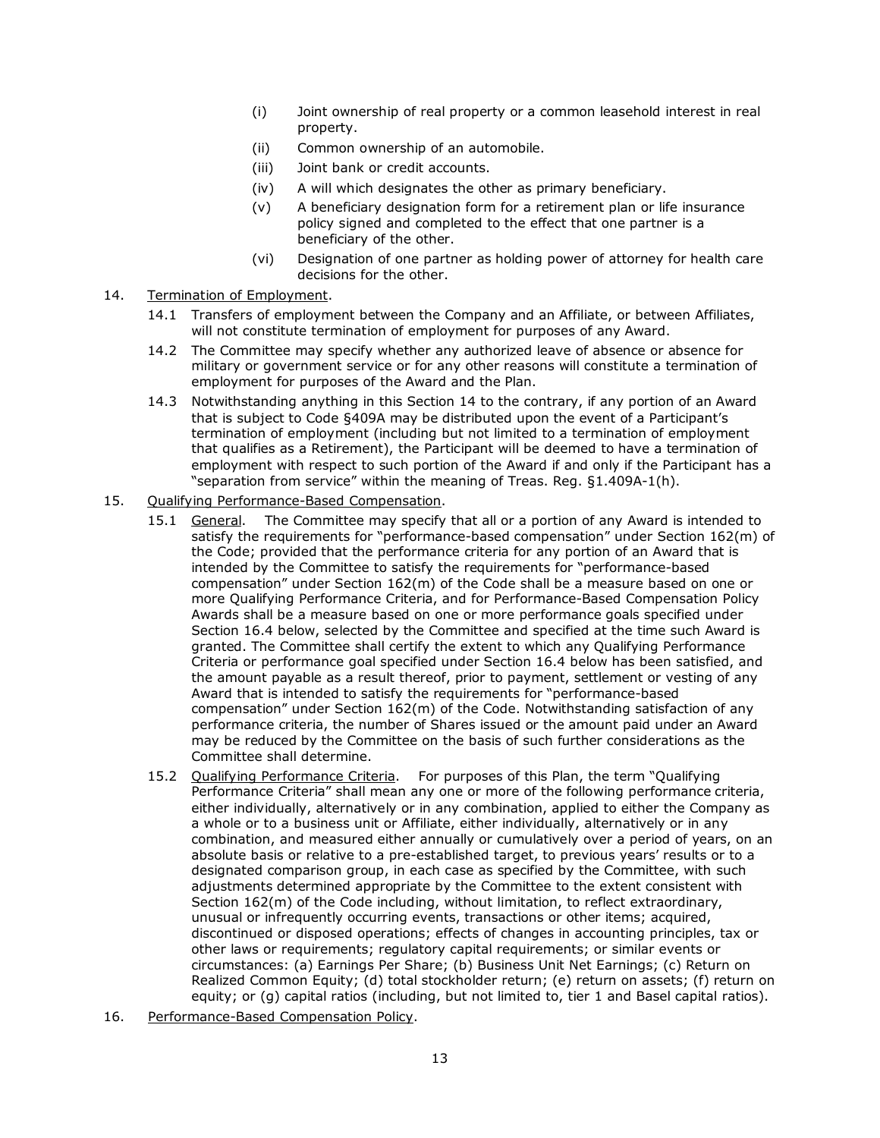- (i) Joint ownership of real property or a common leasehold interest in real property.
- (ii) Common ownership of an automobile.
- (iii) Joint bank or credit accounts.
- (iv) A will which designates the other as primary beneficiary.
- (v) A beneficiary designation form for a retirement plan or life insurance policy signed and completed to the effect that one partner is a beneficiary of the other.
- (vi) Designation of one partner as holding power of attorney for health care decisions for the other.
- 14. Termination of Employment.
	- 14.1 Transfers of employment between the Company and an Affiliate, or between Affiliates, will not constitute termination of employment for purposes of any Award.
	- 14.2 The Committee may specify whether any authorized leave of absence or absence for military or government service or for any other reasons will constitute a termination of employment for purposes of the Award and the Plan.
	- 14.3 Notwithstanding anything in this Section 14 to the contrary, if any portion of an Award that is subject to Code §409A may be distributed upon the event of a Participant's termination of employment (including but not limited to a termination of employment that qualifies as a Retirement), the Participant will be deemed to have a termination of employment with respect to such portion of the Award if and only if the Participant has a "separation from service" within the meaning of Treas. Reg. §1.409A-1(h).
- 15. Qualifying Performance-Based Compensation.
	- 15.1 General. The Committee may specify that all or a portion of any Award is intended to satisfy the requirements for "performance-based compensation" under Section 162(m) of the Code; provided that the performance criteria for any portion of an Award that is intended by the Committee to satisfy the requirements for "performance-based compensation" under Section 162(m) of the Code shall be a measure based on one or more Qualifying Performance Criteria, and for Performance-Based Compensation Policy Awards shall be a measure based on one or more performance goals specified under Section 16.4 below, selected by the Committee and specified at the time such Award is granted. The Committee shall certify the extent to which any Qualifying Performance Criteria or performance goal specified under Section 16.4 below has been satisfied, and the amount payable as a result thereof, prior to payment, settlement or vesting of any Award that is intended to satisfy the requirements for "performance-based compensation" under Section 162(m) of the Code. Notwithstanding satisfaction of any performance criteria, the number of Shares issued or the amount paid under an Award may be reduced by the Committee on the basis of such further considerations as the Committee shall determine.
	- 15.2 Qualifying Performance Criteria. For purposes of this Plan, the term "Qualifying Performance Criteria" shall mean any one or more of the following performance criteria, either individually, alternatively or in any combination, applied to either the Company as a whole or to a business unit or Affiliate, either individually, alternatively or in any combination, and measured either annually or cumulatively over a period of years, on an absolute basis or relative to a pre-established target, to previous years' results or to a designated comparison group, in each case as specified by the Committee, with such adjustments determined appropriate by the Committee to the extent consistent with Section 162(m) of the Code including, without limitation, to reflect extraordinary, unusual or infrequently occurring events, transactions or other items; acquired, discontinued or disposed operations; effects of changes in accounting principles, tax or other laws or requirements; regulatory capital requirements; or similar events or circumstances: (a) Earnings Per Share; (b) Business Unit Net Earnings; (c) Return on Realized Common Equity; (d) total stockholder return; (e) return on assets; (f) return on equity; or (g) capital ratios (including, but not limited to, tier 1 and Basel capital ratios).
- 16. Performance-Based Compensation Policy.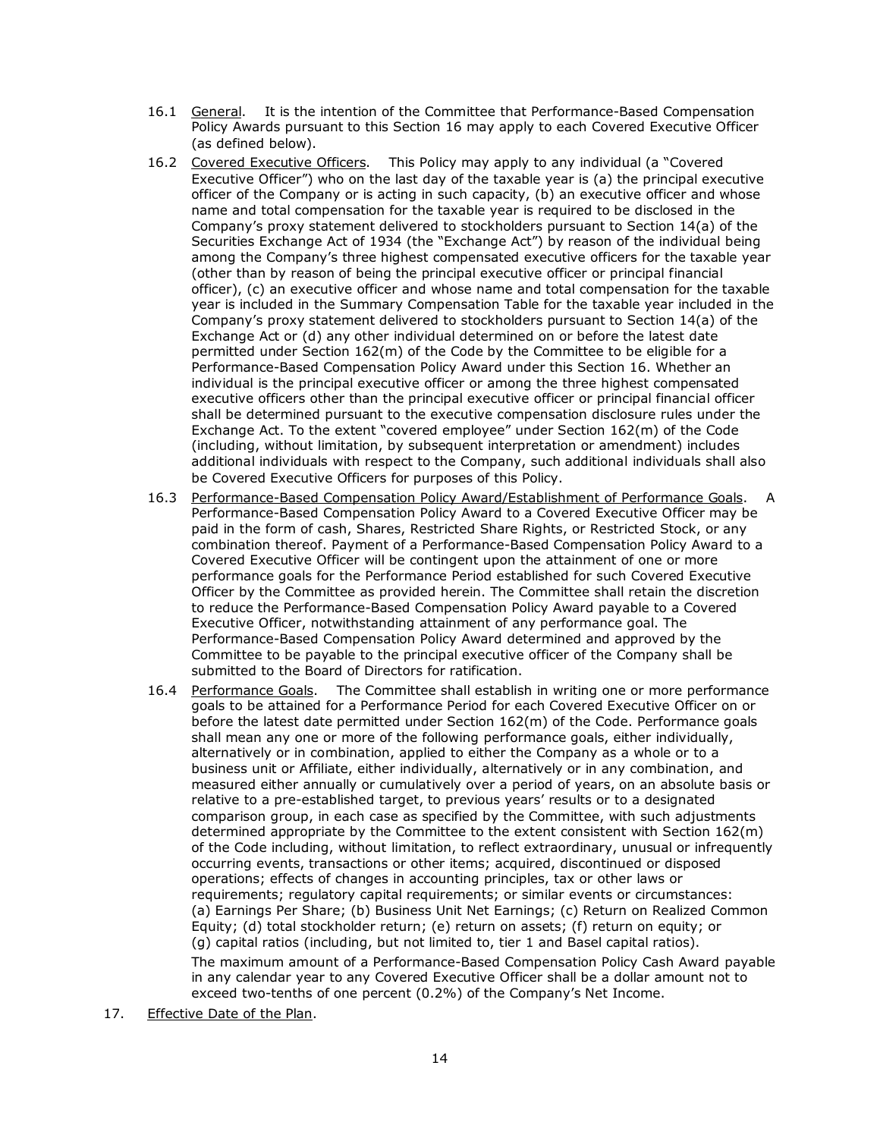- 16.1 General. It is the intention of the Committee that Performance-Based Compensation Policy Awards pursuant to this Section 16 may apply to each Covered Executive Officer (as defined below).
- 16.2 Covered Executive Officers. This Policy may apply to any individual (a "Covered Executive Officer") who on the last day of the taxable year is (a) the principal executive officer of the Company or is acting in such capacity, (b) an executive officer and whose name and total compensation for the taxable year is required to be disclosed in the Company's proxy statement delivered to stockholders pursuant to Section 14(a) of the Securities Exchange Act of 1934 (the "Exchange Act") by reason of the individual being among the Company's three highest compensated executive officers for the taxable year (other than by reason of being the principal executive officer or principal financial officer), (c) an executive officer and whose name and total compensation for the taxable year is included in the Summary Compensation Table for the taxable year included in the Company's proxy statement delivered to stockholders pursuant to Section 14(a) of the Exchange Act or (d) any other individual determined on or before the latest date permitted under Section 162(m) of the Code by the Committee to be eligible for a Performance-Based Compensation Policy Award under this Section 16. Whether an individual is the principal executive officer or among the three highest compensated executive officers other than the principal executive officer or principal financial officer shall be determined pursuant to the executive compensation disclosure rules under the Exchange Act. To the extent "covered employee" under Section 162(m) of the Code (including, without limitation, by subsequent interpretation or amendment) includes additional individuals with respect to the Company, such additional individuals shall also be Covered Executive Officers for purposes of this Policy.
- 16.3 Performance-Based Compensation Policy Award/Establishment of Performance Goals. A Performance-Based Compensation Policy Award to a Covered Executive Officer may be paid in the form of cash, Shares, Restricted Share Rights, or Restricted Stock, or any combination thereof. Payment of a Performance-Based Compensation Policy Award to a Covered Executive Officer will be contingent upon the attainment of one or more performance goals for the Performance Period established for such Covered Executive Officer by the Committee as provided herein. The Committee shall retain the discretion to reduce the Performance-Based Compensation Policy Award payable to a Covered Executive Officer, notwithstanding attainment of any performance goal. The Performance-Based Compensation Policy Award determined and approved by the Committee to be payable to the principal executive officer of the Company shall be submitted to the Board of Directors for ratification.
- 16.4 Performance Goals. The Committee shall establish in writing one or more performance goals to be attained for a Performance Period for each Covered Executive Officer on or before the latest date permitted under Section 162(m) of the Code. Performance goals shall mean any one or more of the following performance goals, either individually, alternatively or in combination, applied to either the Company as a whole or to a business unit or Affiliate, either individually, alternatively or in any combination, and measured either annually or cumulatively over a period of years, on an absolute basis or relative to a pre-established target, to previous years' results or to a designated comparison group, in each case as specified by the Committee, with such adjustments determined appropriate by the Committee to the extent consistent with Section 162(m) of the Code including, without limitation, to reflect extraordinary, unusual or infrequently occurring events, transactions or other items; acquired, discontinued or disposed operations; effects of changes in accounting principles, tax or other laws or requirements; regulatory capital requirements; or similar events or circumstances: (a) Earnings Per Share; (b) Business Unit Net Earnings; (c) Return on Realized Common Equity; (d) total stockholder return; (e) return on assets; (f) return on equity; or (g) capital ratios (including, but not limited to, tier 1 and Basel capital ratios). The maximum amount of a Performance-Based Compensation Policy Cash Award payable in any calendar year to any Covered Executive Officer shall be a dollar amount not to

exceed two-tenths of one percent (0.2%) of the Company's Net Income.

17. Effective Date of the Plan.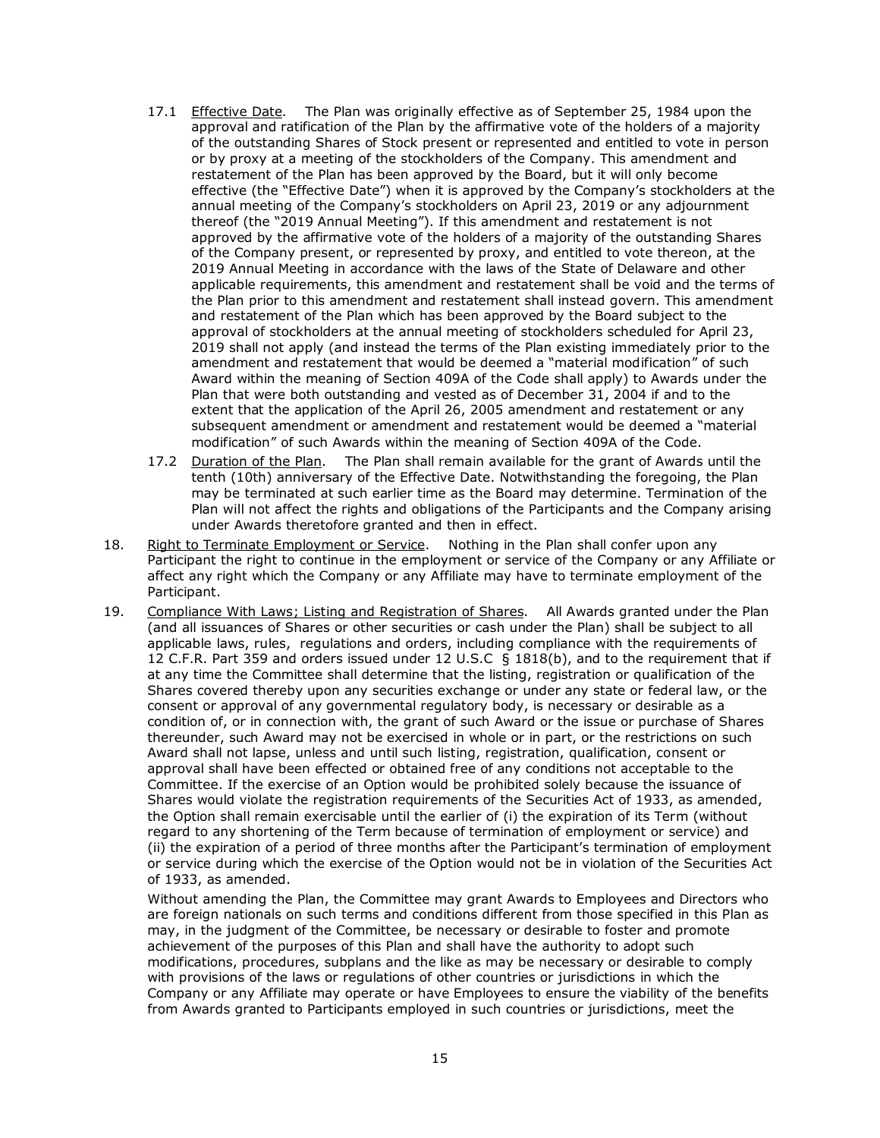- 17.1 Effective Date. The Plan was originally effective as of September 25, 1984 upon the approval and ratification of the Plan by the affirmative vote of the holders of a majority of the outstanding Shares of Stock present or represented and entitled to vote in person or by proxy at a meeting of the stockholders of the Company. This amendment and restatement of the Plan has been approved by the Board, but it will only become effective (the "Effective Date") when it is approved by the Company's stockholders at the annual meeting of the Company's stockholders on April 23, 2019 or any adjournment thereof (the "2019 Annual Meeting"). If this amendment and restatement is not approved by the affirmative vote of the holders of a majority of the outstanding Shares of the Company present, or represented by proxy, and entitled to vote thereon, at the 2019 Annual Meeting in accordance with the laws of the State of Delaware and other applicable requirements, this amendment and restatement shall be void and the terms of the Plan prior to this amendment and restatement shall instead govern. This amendment and restatement of the Plan which has been approved by the Board subject to the approval of stockholders at the annual meeting of stockholders scheduled for April 23, 2019 shall not apply (and instead the terms of the Plan existing immediately prior to the amendment and restatement that would be deemed a "material modification" of such Award within the meaning of Section 409A of the Code shall apply) to Awards under the Plan that were both outstanding and vested as of December 31, 2004 if and to the extent that the application of the April 26, 2005 amendment and restatement or any subsequent amendment or amendment and restatement would be deemed a "material modification" of such Awards within the meaning of Section 409A of the Code.
- 17.2 Duration of the Plan. The Plan shall remain available for the grant of Awards until the tenth (10th) anniversary of the Effective Date. Notwithstanding the foregoing, the Plan may be terminated at such earlier time as the Board may determine. Termination of the Plan will not affect the rights and obligations of the Participants and the Company arising under Awards theretofore granted and then in effect.
- 18. Right to Terminate Employment or Service. Nothing in the Plan shall confer upon any Participant the right to continue in the employment or service of the Company or any Affiliate or affect any right which the Company or any Affiliate may have to terminate employment of the Participant.
- 19. Compliance With Laws; Listing and Registration of Shares. All Awards granted under the Plan (and all issuances of Shares or other securities or cash under the Plan) shall be subject to all applicable laws, rules, regulations and orders, including compliance with the requirements of 12 C.F.R. Part 359 and orders issued under 12 U.S.C § 1818(b), and to the requirement that if at any time the Committee shall determine that the listing, registration or qualification of the Shares covered thereby upon any securities exchange or under any state or federal law, or the consent or approval of any governmental regulatory body, is necessary or desirable as a condition of, or in connection with, the grant of such Award or the issue or purchase of Shares thereunder, such Award may not be exercised in whole or in part, or the restrictions on such Award shall not lapse, unless and until such listing, registration, qualification, consent or approval shall have been effected or obtained free of any conditions not acceptable to the Committee. If the exercise of an Option would be prohibited solely because the issuance of Shares would violate the registration requirements of the Securities Act of 1933, as amended, the Option shall remain exercisable until the earlier of (i) the expiration of its Term (without regard to any shortening of the Term because of termination of employment or service) and (ii) the expiration of a period of three months after the Participant's termination of employment or service during which the exercise of the Option would not be in violation of the Securities Act of 1933, as amended.

Without amending the Plan, the Committee may grant Awards to Employees and Directors who are foreign nationals on such terms and conditions different from those specified in this Plan as may, in the judgment of the Committee, be necessary or desirable to foster and promote achievement of the purposes of this Plan and shall have the authority to adopt such modifications, procedures, subplans and the like as may be necessary or desirable to comply with provisions of the laws or regulations of other countries or jurisdictions in which the Company or any Affiliate may operate or have Employees to ensure the viability of the benefits from Awards granted to Participants employed in such countries or jurisdictions, meet the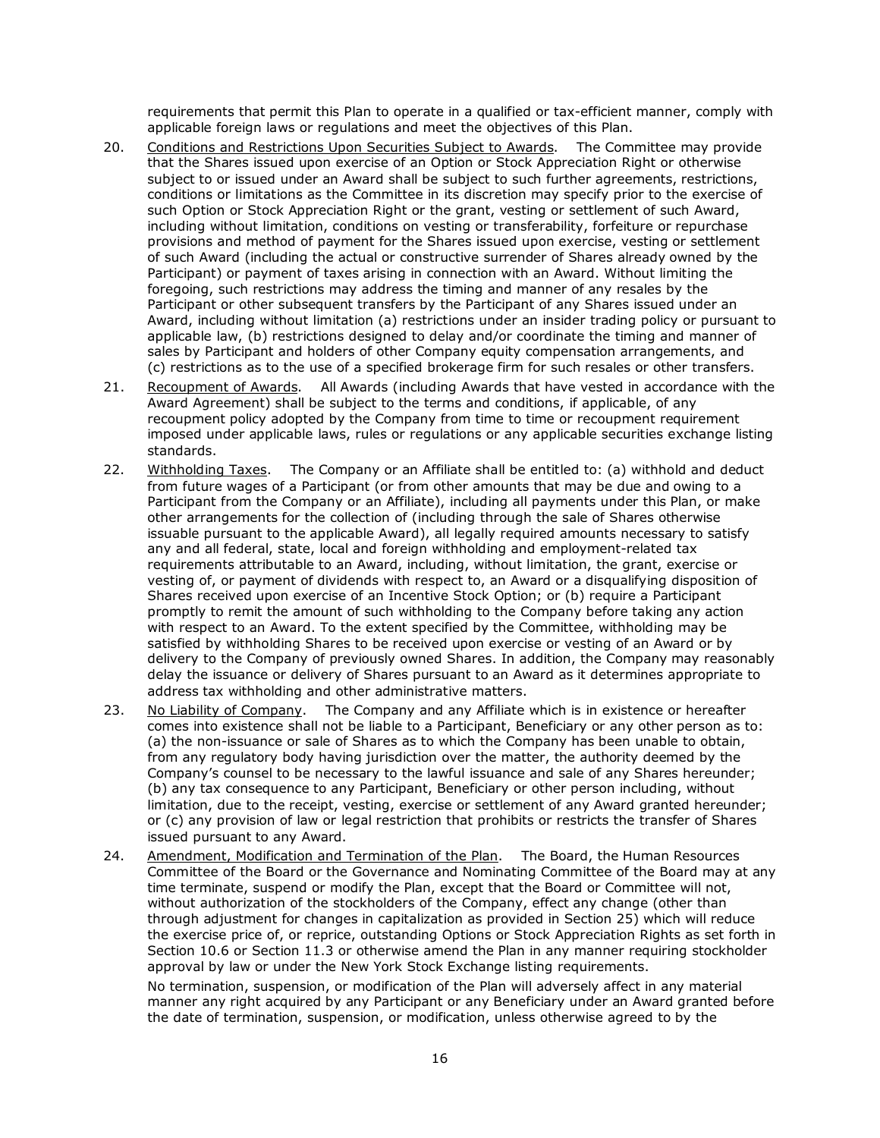requirements that permit this Plan to operate in a qualified or tax-efficient manner, comply with applicable foreign laws or regulations and meet the objectives of this Plan.

- 20. Conditions and Restrictions Upon Securities Subject to Awards. The Committee may provide that the Shares issued upon exercise of an Option or Stock Appreciation Right or otherwise subject to or issued under an Award shall be subject to such further agreements, restrictions, conditions or limitations as the Committee in its discretion may specify prior to the exercise of such Option or Stock Appreciation Right or the grant, vesting or settlement of such Award, including without limitation, conditions on vesting or transferability, forfeiture or repurchase provisions and method of payment for the Shares issued upon exercise, vesting or settlement of such Award (including the actual or constructive surrender of Shares already owned by the Participant) or payment of taxes arising in connection with an Award. Without limiting the foregoing, such restrictions may address the timing and manner of any resales by the Participant or other subsequent transfers by the Participant of any Shares issued under an Award, including without limitation (a) restrictions under an insider trading policy or pursuant to applicable law, (b) restrictions designed to delay and/or coordinate the timing and manner of sales by Participant and holders of other Company equity compensation arrangements, and (c) restrictions as to the use of a specified brokerage firm for such resales or other transfers.
- 21. In Recoupment of Awards. All Awards (including Awards that have vested in accordance with the Award Agreement) shall be subject to the terms and conditions, if applicable, of any recoupment policy adopted by the Company from time to time or recoupment requirement imposed under applicable laws, rules or regulations or any applicable securities exchange listing standards.
- 22. I Withholding Taxes. The Company or an Affiliate shall be entitled to: (a) withhold and deduct from future wages of a Participant (or from other amounts that may be due and owing to a Participant from the Company or an Affiliate), including all payments under this Plan, or make other arrangements for the collection of (including through the sale of Shares otherwise issuable pursuant to the applicable Award), all legally required amounts necessary to satisfy any and all federal, state, local and foreign withholding and employment-related tax requirements attributable to an Award, including, without limitation, the grant, exercise or vesting of, or payment of dividends with respect to, an Award or a disqualifying disposition of Shares received upon exercise of an Incentive Stock Option; or (b) require a Participant promptly to remit the amount of such withholding to the Company before taking any action with respect to an Award. To the extent specified by the Committee, withholding may be satisfied by withholding Shares to be received upon exercise or vesting of an Award or by delivery to the Company of previously owned Shares. In addition, the Company may reasonably delay the issuance or delivery of Shares pursuant to an Award as it determines appropriate to address tax withholding and other administrative matters.
- 23. No Liability of Company. The Company and any Affiliate which is in existence or hereafter comes into existence shall not be liable to a Participant, Beneficiary or any other person as to: (a) the non-issuance or sale of Shares as to which the Company has been unable to obtain, from any regulatory body having jurisdiction over the matter, the authority deemed by the Company's counsel to be necessary to the lawful issuance and sale of any Shares hereunder; (b) any tax consequence to any Participant, Beneficiary or other person including, without limitation, due to the receipt, vesting, exercise or settlement of any Award granted hereunder; or (c) any provision of law or legal restriction that prohibits or restricts the transfer of Shares issued pursuant to any Award.
- 24. Amendment, Modification and Termination of the Plan. The Board, the Human Resources Committee of the Board or the Governance and Nominating Committee of the Board may at any time terminate, suspend or modify the Plan, except that the Board or Committee will not, without authorization of the stockholders of the Company, effect any change (other than through adjustment for changes in capitalization as provided in Section 25) which will reduce the exercise price of, or reprice, outstanding Options or Stock Appreciation Rights as set forth in Section 10.6 or Section 11.3 or otherwise amend the Plan in any manner requiring stockholder approval by law or under the New York Stock Exchange listing requirements.

No termination, suspension, or modification of the Plan will adversely affect in any material manner any right acquired by any Participant or any Beneficiary under an Award granted before the date of termination, suspension, or modification, unless otherwise agreed to by the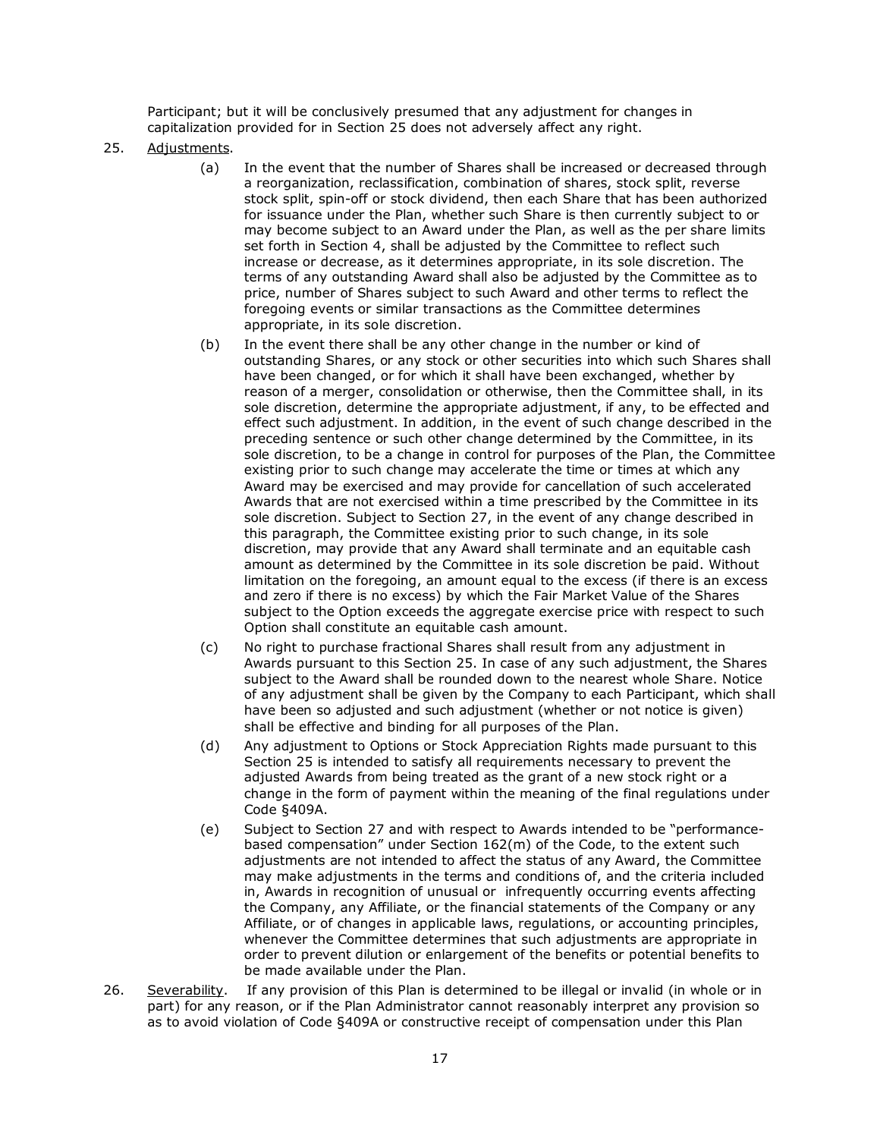Participant; but it will be conclusively presumed that any adjustment for changes in capitalization provided for in Section 25 does not adversely affect any right.

## 25. Adjustments.

- (a) In the event that the number of Shares shall be increased or decreased through a reorganization, reclassification, combination of shares, stock split, reverse stock split, spin-off or stock dividend, then each Share that has been authorized for issuance under the Plan, whether such Share is then currently subject to or may become subject to an Award under the Plan, as well as the per share limits set forth in Section 4, shall be adjusted by the Committee to reflect such increase or decrease, as it determines appropriate, in its sole discretion. The terms of any outstanding Award shall also be adjusted by the Committee as to price, number of Shares subject to such Award and other terms to reflect the foregoing events or similar transactions as the Committee determines appropriate, in its sole discretion.
- (b) In the event there shall be any other change in the number or kind of outstanding Shares, or any stock or other securities into which such Shares shall have been changed, or for which it shall have been exchanged, whether by reason of a merger, consolidation or otherwise, then the Committee shall, in its sole discretion, determine the appropriate adjustment, if any, to be effected and effect such adjustment. In addition, in the event of such change described in the preceding sentence or such other change determined by the Committee, in its sole discretion, to be a change in control for purposes of the Plan, the Committee existing prior to such change may accelerate the time or times at which any Award may be exercised and may provide for cancellation of such accelerated Awards that are not exercised within a time prescribed by the Committee in its sole discretion. Subject to Section 27, in the event of any change described in this paragraph, the Committee existing prior to such change, in its sole discretion, may provide that any Award shall terminate and an equitable cash amount as determined by the Committee in its sole discretion be paid. Without limitation on the foregoing, an amount equal to the excess (if there is an excess and zero if there is no excess) by which the Fair Market Value of the Shares subject to the Option exceeds the aggregate exercise price with respect to such Option shall constitute an equitable cash amount.
- (c) No right to purchase fractional Shares shall result from any adjustment in Awards pursuant to this Section 25. In case of any such adjustment, the Shares subject to the Award shall be rounded down to the nearest whole Share. Notice of any adjustment shall be given by the Company to each Participant, which shall have been so adjusted and such adjustment (whether or not notice is given) shall be effective and binding for all purposes of the Plan.
- (d) Any adjustment to Options or Stock Appreciation Rights made pursuant to this Section 25 is intended to satisfy all requirements necessary to prevent the adjusted Awards from being treated as the grant of a new stock right or a change in the form of payment within the meaning of the final regulations under Code §409A.
- (e) Subject to Section 27 and with respect to Awards intended to be "performancebased compensation" under Section 162(m) of the Code, to the extent such adjustments are not intended to affect the status of any Award, the Committee may make adjustments in the terms and conditions of, and the criteria included in, Awards in recognition of unusual or infrequently occurring events affecting the Company, any Affiliate, or the financial statements of the Company or any Affiliate, or of changes in applicable laws, regulations, or accounting principles, whenever the Committee determines that such adjustments are appropriate in order to prevent dilution or enlargement of the benefits or potential benefits to be made available under the Plan.
- Severability. 26. Severability. If any provision of this Plan is determined to be illegal or invalid (in whole or in part) for any reason, or if the Plan Administrator cannot reasonably interpret any provision so as to avoid violation of Code §409A or constructive receipt of compensation under this Plan